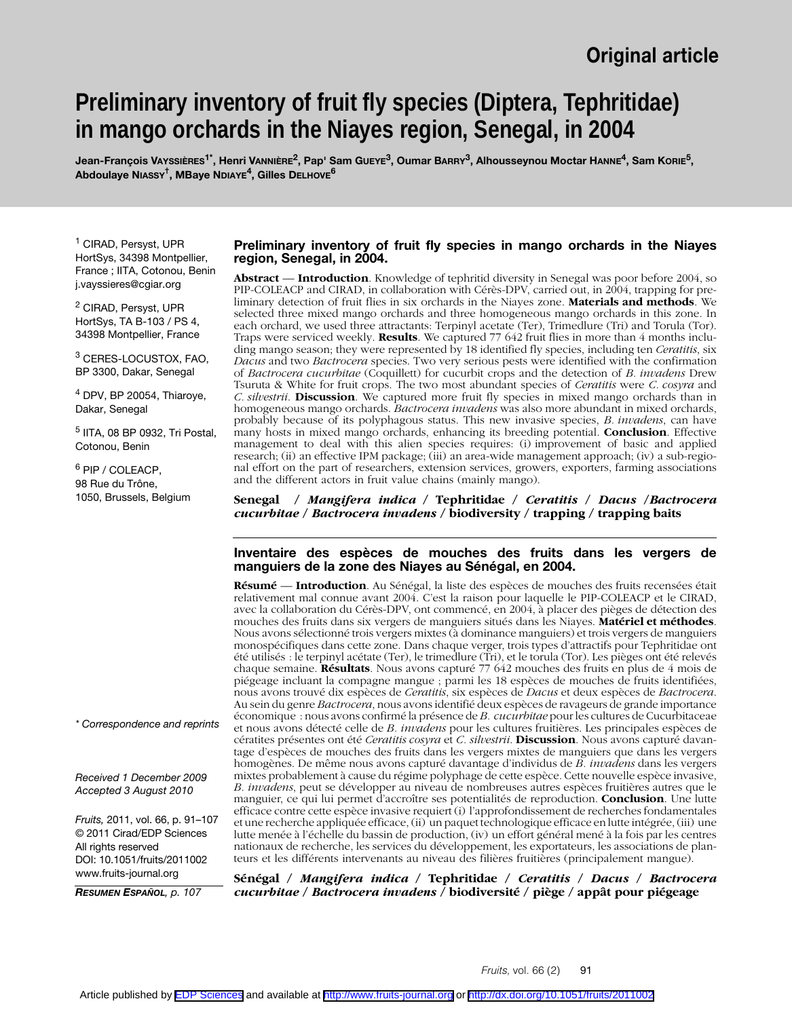# **Preliminary inventory of fruit fly species (Diptera, Tephritidae) in mango orchards in the Niayes region, Senegal, in 2004**

**Jean-François VAYSSIÈRES1\*, Henri VANNIÈRE2, Pap' Sam GUEYE3, Oumar BARRY3, Alhousseynou Moctar HANNE4, Sam KORIE5, Abdoulaye NIASSY**✝**, MBaye NDIAYE4, Gilles DELHOVE6**

1 CIRAD, Persyst, UPR HortSys, 34398 Montpellier, France ; IITA, Cotonou, Benin j.vayssieres@cgiar.org

2 CIRAD, Persyst, UPR HortSys, TA B-103 / PS 4, 34398 Montpellier, France

3 CERES-LOCUSTOX, FAO, BP 3300, Dakar, Senegal

 $4$  DPV, BP 20054, Thiaroye, Dakar, Senegal

5 IITA, 08 BP 0932, Tri Postal, Cotonou, Benin

6 PIP / COLEACP, 98 Rue du Trône, 1050, Brussels, Belgium

#### **Preliminary inventory of fruit fly species in mango orchards in the Niayes region, Senegal, in 2004.**

**Abstract** –– **Introduction**. Knowledge of tephritid diversity in Senegal was poor before 2004, so PIP-COLEACP and CIRAD, in collaboration with Cérès-DPV, carried out, in 2004, trapping for preliminary detection of fruit flies in six orchards in the Niayes zone. **Materials and methods**. We selected three mixed mango orchards and three homogeneous mango orchards in this zone. In each orchard, we used three attractants: Terpinyl acetate (Ter), Trimedlure (Tri) and Torula (Tor). Traps were serviced weekly. **Results**. We captured 77 642 fruit flies in more than 4 months including mango season; they were represented by 18 identified fly species, including ten *Ceratitis*, six *Dacus* and two *Bactrocera* species. Two very serious pests were identified with the confirmation of *Bactrocera cucurbitae* (Coquillett) for cucurbit crops and the detection of *B. invadens* Drew Tsuruta & White for fruit crops. The two most abundant species of *Ceratitis* were *C. cosyra* and *C. silvestrii*. **Discussion**. We captured more fruit fly species in mixed mango orchards than in homogeneous mango orchards. *Bactrocera invadens* was also more abundant in mixed orchards, probably because of its polyphagous status. This new invasive species, *B. invadens*, can have many hosts in mixed mango orchards, enhancing its breeding potential. **Conclusion**. Effective management to deal with this alien species requires: (i) improvement of basic and applied research; (ii) an effective IPM package; (iii) an area-wide management approach; (iv) a sub-regional effort on the part of researchers, extension services, growers, exporters, farming associations and the different actors in fruit value chains (mainly mango).

**Senegal /** *Mangifera indica* **/ Tephritidae /** *Ceratitis* **/** *Dacus* **/***Bactrocera cucurbitae* **/** *Bactrocera invadens* **/ biodiversity / trapping / trapping baits**

#### **Inventaire des espèces de mouches des fruits dans les vergers de manguiers de la zone des Niayes au Sénégal, en 2004.**

**Résumé** –– **Introduction**. Au Sénégal, la liste des espèces de mouches des fruits recensées était relativement mal connue avant 2004. C'est la raison pour laquelle le PIP-COLEACP et le CIRAD, avec la collaboration du Cérès-DPV, ont commencé, en 2004, à placer des pièges de détection des mouches des fruits dans six vergers de manguiers situés dans les Niayes. **Matériel et méthodes**. Nous avons sélectionné trois vergers mixtes (à dominance manguiers) et trois vergers de manguiers monospécifiques dans cette zone. Dans chaque verger, trois types d'attractifs pour Tephritidae ont été utilisés : le terpinyl acétate (Ter), le trimedlure (Tri), et le torula (Tor). Les pièges ont été relevés chaque semaine. **Résultats**. Nous avons capturé 77 642 mouches des fruits en plus de 4 mois de piégeage incluant la compagne mangue ; parmi les 18 espèces de mouches de fruits identifiées, nous avons trouvé dix espèces de *Ceratitis*, six espèces de *Dacus* et deux espèces de *Bactrocera*. Au sein du genre *Bactrocera*, nous avons identifié deux espèces de ravageurs de grande importance économique : nous avons confirmé la présence de *B. cucurbitae* pour les cultures de Cucurbitaceae et nous avons détecté celle de *B. invadens* pour les cultures fruitières. Les principales espèces de cératites présentes ont été *Ceratitis cosyra* et *C. silvestrii*. **Discussion**. Nous avons capturé davantage d'espèces de mouches des fruits dans les vergers mixtes de manguiers que dans les vergers homogènes. De même nous avons capturé davantage d'individus de *B. invadens* dans les vergers mixtes probablement à cause du régime polyphage de cette espèce. Cette nouvelle espèce invasive, *B. invadens*, peut se développer au niveau de nombreuses autres espèces fruitières autres que le manguier, ce qui lui permet d'accroître ses potentialités de reproduction. **Conclusion**. Une lutte efficace contre cette espèce invasive requiert (i) l'approfondissement de recherches fondamentales et une recherche appliquée efficace, (ii) un paquet technologique efficace en lutte intégrée, (iii) une lutte menée à l'échelle du bassin de production, (iv) un effort général mené à la fois par les centres nationaux de recherche, les services du développement, les exportateurs, les associations de planteurs et les différents intervenants au niveau des filières fruitières (principalement mangue).

**Sénégal /** *Mangifera indica* **/ Tephritidae /** *Ceratitis* **/** *Dacus* **/** *Bactrocera cucurbitae* **/** *Bactrocera invadens* **/ biodiversité / piège / appât pour piégeage**

*\* Correspondence and reprints*

*Received 1 December 2009 Accepted 3 August 2010*

*Fruits,* 2011, vol. 66, p. 91–107 © 2011 Cirad/EDP Sciences All rights reserved DOI: 10.1051/fruits/2011002 www.fruits-journal.org

*RESUMEN ESPAÑOL, p. 107*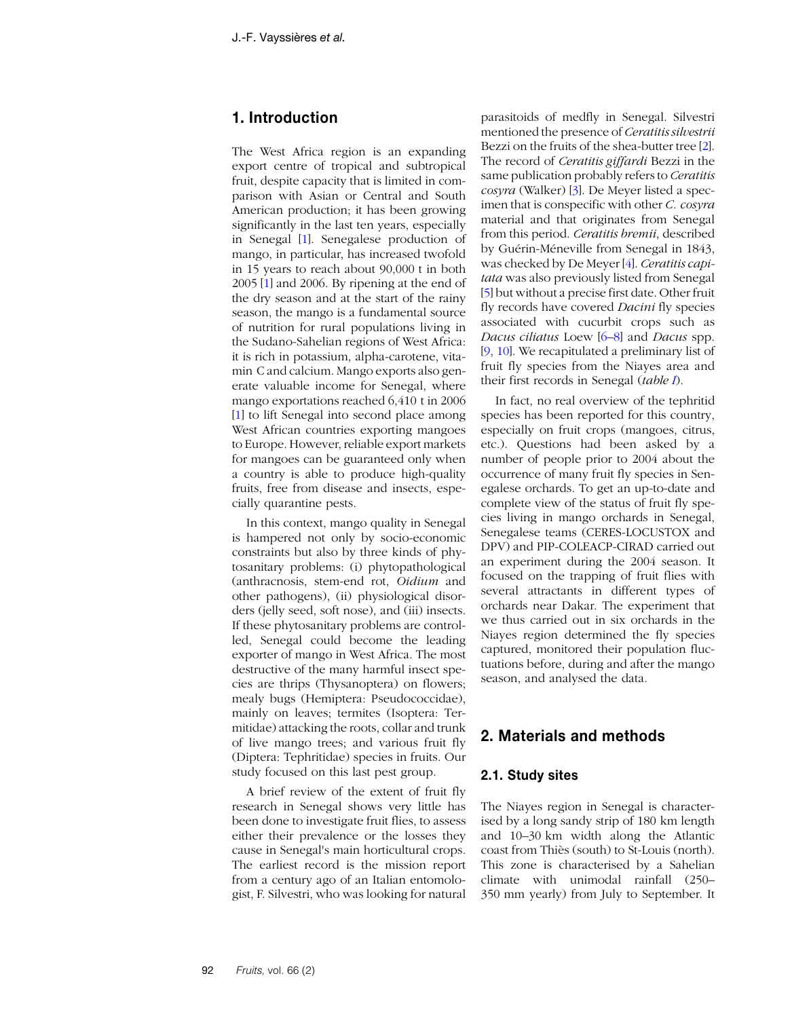## **1. Introduction**

The West Africa region is an expanding export centre of tropical and subtropical fruit, despite capacity that is limited in comparison with Asian or Central and South American production; it has been growing significantly in the last ten years, especially in Senegal [[1](#page-14-0)]. Senegalese production of mango, in particular, has increased twofold in 15 years to reach about 90,000 t in both 2005 [\[1\]](#page-14-0) and 2006. By ripening at the end of the dry season and at the start of the rainy season, the mango is a fundamental source of nutrition for rural populations living in the Sudano-Sahelian regions of West Africa: it is rich in potassium, alpha-carotene, vitamin C and calcium. Mango exports also generate valuable income for Senegal, where mango exportations reached 6,410 t in 2006 [[1](#page-14-0)] to lift Senegal into second place among West African countries exporting mangoes to Europe. However, reliable export markets for mangoes can be guaranteed only when a country is able to produce high-quality fruits, free from disease and insects, especially quarantine pests.

In this context, mango quality in Senegal is hampered not only by socio-economic constraints but also by three kinds of phytosanitary problems: (i) phytopathological (anthracnosis, stem-end rot, *Oidium* and other pathogens), (ii) physiological disorders (jelly seed, soft nose), and (iii) insects. If these phytosanitary problems are controlled, Senegal could become the leading exporter of mango in West Africa. The most destructive of the many harmful insect species are thrips (Thysanoptera) on flowers; mealy bugs (Hemiptera: Pseudococcidae), mainly on leaves; termites (Isoptera: Termitidae) attacking the roots, collar and trunk of live mango trees; and various fruit fly (Diptera: Tephritidae) species in fruits. Our study focused on this last pest group.

A brief review of the extent of fruit fly research in Senegal shows very little has been done to investigate fruit flies, to assess either their prevalence or the losses they cause in Senegal's main horticultural crops. The earliest record is the mission report from a century ago of an Italian entomologist, F. Silvestri, who was looking for natural

parasitoids of medfly in Senegal. Silvestri mentioned the presence of *Ceratitis silvestrii*  Bezzi on the fruits of the shea-butter tree [[2](#page-14-1)]. The record of *Ceratitis giffardi* Bezzi in the same publication probably refers to *Ceratitis cosyra* (Walker) [\[3\]](#page-14-2). De Meyer listed a specimen that is conspecific with other *C. cosyra* material and that originates from Senegal from this period. *Ceratitis bremii*, described by Guérin-Méneville from Senegal in 1843, was checked by De Meyer [[4\]](#page-14-3). *Ceratitis capitata* was also previously listed from Senegal [[5](#page-14-8)] but without a precise first date. Other fruit fly records have covered *Dacini* fly species associated with cucurbit crops such as *Dacus ciliatus* Loew [[6](#page-14-4)[–8\]](#page-14-5) and *Dacus* spp. [[9](#page-14-6), [10\]](#page-14-7). We recapitulated a preliminary list of fruit fly species from the Niayes area and their first records in Senegal (*table [I](#page-2-0)*).

In fact, no real overview of the tephritid species has been reported for this country, especially on fruit crops (mangoes, citrus, etc.). Questions had been asked by a number of people prior to 2004 about the occurrence of many fruit fly species in Senegalese orchards. To get an up-to-date and complete view of the status of fruit fly species living in mango orchards in Senegal, Senegalese teams (CERES-LOCUSTOX and DPV) and PIP-COLEACP-CIRAD carried out an experiment during the 2004 season. It focused on the trapping of fruit flies with several attractants in different types of orchards near Dakar. The experiment that we thus carried out in six orchards in the Niayes region determined the fly species captured, monitored their population fluctuations before, during and after the mango season, and analysed the data.

# **2. Materials and methods**

#### **2.1. Study sites**

The Niayes region in Senegal is characterised by a long sandy strip of 180 km length and 10–30 km width along the Atlantic coast from Thiès (south) to St-Louis (north). This zone is characterised by a Sahelian climate with unimodal rainfall (250– 350 mm yearly) from July to September. It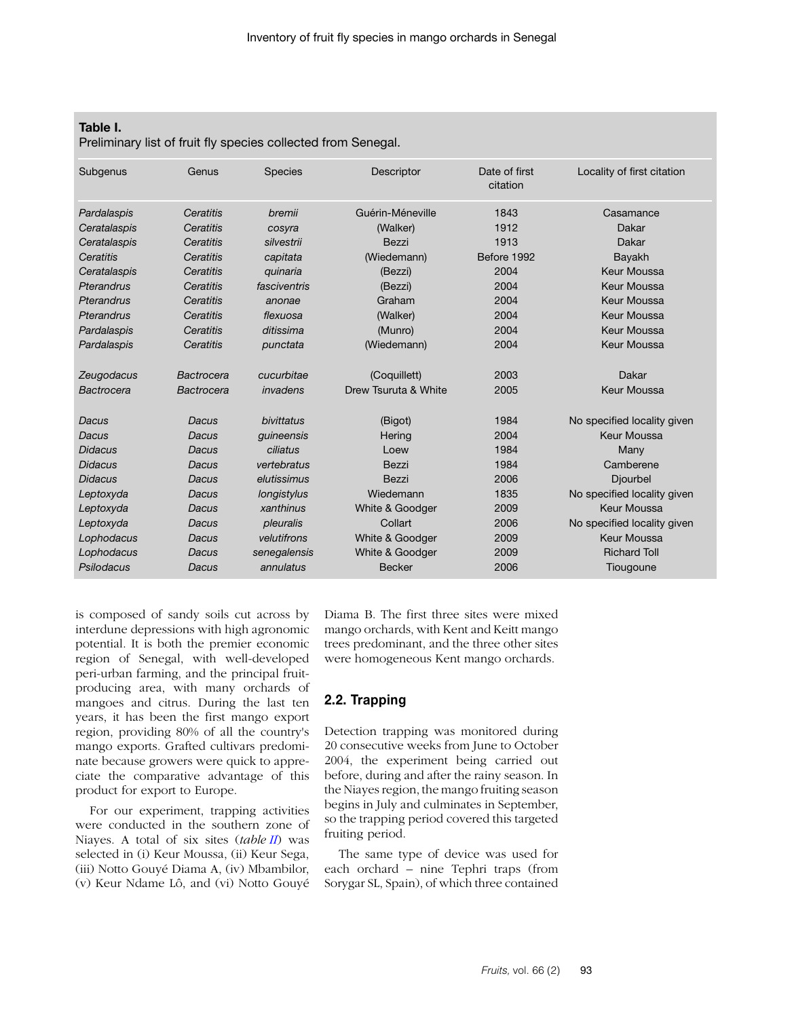#### <span id="page-2-0"></span>**Table I.**

Preliminary list of fruit fly species collected from Senegal.

| Subgenus          | Genus      | Species      | <b>Descriptor</b>    | Date of first<br>citation | Locality of first citation  |
|-------------------|------------|--------------|----------------------|---------------------------|-----------------------------|
| Pardalaspis       | Ceratitis  | bremii       | Guérin-Méneville     | 1843                      | Casamance                   |
| Ceratalaspis      | Ceratitis  | cosyra       | (Walker)             | 1912                      | Dakar                       |
| Ceratalaspis      | Ceratitis  | silvestrii   | Bezzi                | 1913                      | Dakar                       |
| Ceratitis         | Ceratitis  | capitata     | (Wiedemann)          | Before 1992               | Bayakh                      |
| Ceratalaspis      | Ceratitis  | quinaria     | (Bezzi)              | 2004                      | Keur Moussa                 |
| <b>Pterandrus</b> | Ceratitis  | fasciventris | (Bezzi)              | 2004                      | Keur Moussa                 |
| Pterandrus        | Ceratitis  | anonae       | Graham               | 2004                      | Keur Moussa                 |
| Pterandrus        | Ceratitis  | flexuosa     | (Walker)             | 2004                      | Keur Moussa                 |
| Pardalaspis       | Ceratitis  | ditissima    | (Munro)              | 2004                      | Keur Moussa                 |
| Pardalaspis       | Ceratitis  | punctata     | (Wiedemann)          | 2004                      | Keur Moussa                 |
| Zeugodacus        | Bactrocera | cucurbitae   | (Coquillett)         | 2003                      | Dakar                       |
| Bactrocera        | Bactrocera | invadens     | Drew Tsuruta & White | 2005                      | Keur Moussa                 |
| Dacus             | Dacus      | bivittatus   | (Bigot)              | 1984                      | No specified locality given |
| Dacus             | Dacus      | guineensis   | Hering               | 2004                      | Keur Moussa                 |
| <b>Didacus</b>    | Dacus      | ciliatus     | Loew                 | 1984                      | Many                        |
| Didacus           | Dacus      | vertebratus  | Bezzi                | 1984                      | Camberene                   |
| Didacus           | Dacus      | elutissimus  | Bezzi                | 2006                      | Djourbel                    |
| Leptoxyda         | Dacus      | longistylus  | Wiedemann            | 1835                      | No specified locality given |
| Leptoxyda         | Dacus      | xanthinus    | White & Goodger      | 2009                      | Keur Moussa                 |
| Leptoxyda         | Dacus      | pleuralis    | Collart              | 2006                      | No specified locality given |
| Lophodacus        | Dacus      | velutifrons  | White & Goodger      | 2009                      | Keur Moussa                 |
|                   |            |              |                      |                           |                             |
| Lophodacus        | Dacus      | senegalensis | White & Goodger      | 2009                      | <b>Richard Toll</b>         |

is composed of sandy soils cut across by interdune depressions with high agronomic potential. It is both the premier economic region of Senegal, with well-developed peri-urban farming, and the principal fruitproducing area, with many orchards of mangoes and citrus. During the last ten years, it has been the first mango export region, providing 80% of all the country's mango exports. Grafted cultivars predominate because growers were quick to appreciate the comparative advantage of this product for export to Europe.

For our experiment, trapping activities were conducted in the southern zone of Niayes. A total of six sites (*table [II](#page-3-0)*) was selected in (i) Keur Moussa, (ii) Keur Sega, (iii) Notto Gouyé Diama A, (iv) Mbambilor, (v) Keur Ndame Lô, and (vi) Notto Gouyé Diama B. The first three sites were mixed mango orchards, with Kent and Keitt mango trees predominant, and the three other sites were homogeneous Kent mango orchards.

## **2.2. Trapping**

Detection trapping was monitored during 20 consecutive weeks from June to October 2004, the experiment being carried out before, during and after the rainy season. In the Niayes region, the mango fruiting season begins in July and culminates in September, so the trapping period covered this targeted fruiting period.

The same type of device was used for each orchard – nine Tephri traps (from Sorygar SL, Spain), of which three contained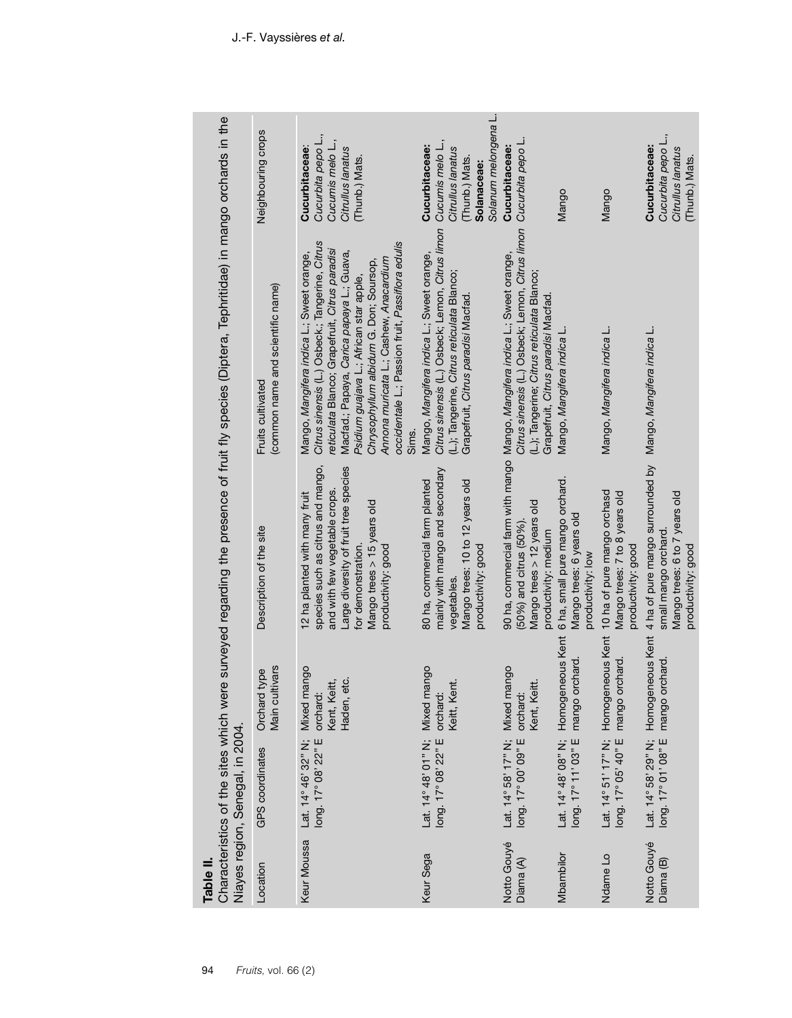<span id="page-3-0"></span>

| Table II.                           | Characteristics of the sites which<br>Niayes region, Senegal, in 2004. |                                      |                                                                                                                                                                                                                       | were surveyed regarding the presence of fruit fly species (Diptera, Tephritidae) in mango orchards in the                                                                                                                                                                                                                                                                                     |                                                                                                                  |
|-------------------------------------|------------------------------------------------------------------------|--------------------------------------|-----------------------------------------------------------------------------------------------------------------------------------------------------------------------------------------------------------------------|-----------------------------------------------------------------------------------------------------------------------------------------------------------------------------------------------------------------------------------------------------------------------------------------------------------------------------------------------------------------------------------------------|------------------------------------------------------------------------------------------------------------------|
| Location                            | GPS coordinates                                                        | cultivars<br>Orchard type<br>Main    | Description of the site                                                                                                                                                                                               | (common name and scientific name)<br>Fruits cultivated                                                                                                                                                                                                                                                                                                                                        | Neighbouring crops                                                                                               |
| Keur Moussa                         | Lat. 14° 46' 32" N; Mixed mango<br>long. 17° 08' 22" E orchard:        | Haden, etc.<br>Kent, Keitt,          | species such as citrus and mango,<br>Large diversity of fruit tree species<br>and with few vegetable crops<br>12 ha planted with many fruit<br>Mango trees > 15 years old<br>for demonstration.<br>productivity: good | Citrus sinensis (L.) Osbeck.; Tangerine, Citrus<br>occidentale L.; Passion fruit, Passiflora edulis<br>reticulata Blanco; Grapefruit, Citrus paradisi<br>Macfad ; Papaya, <i>Carica papaya</i> L; Guava,<br>Mango, Mangifera indica L.; Sweet orange,<br>Annona muricata L.; Cashew, Anacardium<br>Chrysophyllum albidum G. Don; Soursop.<br>Psidium guajava L.; African star apple,<br>Sims. | Cucurbita pepo L.,<br>Cucumis melo L.,<br>Cucurbitaceae:<br>Citrullus lanatus<br>(Thunb.) Mats.                  |
| Keur Sega                           | Lat. 14° 48' 01" N; Mixed mango<br>long. 17° 08' 22" E orchard:        | Keitt, Kent.                         | mainly with mango and secondary<br>Mango trees: 10 to 12 years old<br>80 ha, commercial farm planted<br>productivity: good<br>vegetables.                                                                             | Citrus sinensis (L.) Osbeck; Lemon, Citrus limon<br>Mango, Mangifera indica L.; Sweet orange,<br>(L.); Tangerine, Citrus reticulata Blanco;<br>Grapefruit, Citrus paradisi Macfad                                                                                                                                                                                                             | Solanum melongena L.<br>Cucumis melo L.,<br>Cucurbitaceae:<br>Citrullus lanatus<br>(Thunb.) Mats.<br>Solanaceae: |
| Notto Gouyé<br>Diama (A)            | Lat. 14° 58' 17" N; Mixed mango<br>long. 17° 00' 09" E orchard:        | Kent, Keitt.                         | 90 ha, commercial farm with mango<br>Mango trees > 12 years old<br>(50%) and citrus (50%)<br>productivity: medium                                                                                                     | Citrus sinensis (L.) Osbeck; Lemon, Citrus limon<br>Mango, Mangifera indica L.; Sweet orange,<br>(L.); Tangerine; Citrus reticulata Blanco;<br>Grapefruit, Citrus paradisi Macfad                                                                                                                                                                                                             | Cucurbita pepo L<br>Cucurbitaceae:                                                                               |
| Mbambilor                           | long. 17° 11' 03" E mango orchard                                      | Lat. 14° 48' 08" N; Homogeneous Kent | 6 ha, small pure mango orchard<br>Mango trees: 6 years old<br>productivity: low                                                                                                                                       | Mango, Mangifera indica                                                                                                                                                                                                                                                                                                                                                                       | Mango                                                                                                            |
| Ndame <sub>Lo</sub>                 | long. 17° 05' 40" E mango orchard                                      | Lat. 14° 51' 17" N; Homogeneous Kent | 10 ha of pure mango orchasd<br>Mango trees: 7 to 8 years old<br>productivity: good                                                                                                                                    | Mango, Mangifera indica L.                                                                                                                                                                                                                                                                                                                                                                    | Mango                                                                                                            |
| Notto Gouyé<br>Diama <sub>(B)</sub> | long. 17° 01' 08" E mango orchard.                                     | Lat. 14° 58' 29" N; Homogeneous Kent | 4 ha of pure mango surrounded by<br>Mango trees: 6 to 7 years old<br>small mango orchard.<br>productivity: good                                                                                                       | Mango, Mangifera indica L.                                                                                                                                                                                                                                                                                                                                                                    | Cucurbita pepo L.,<br>Cucurbitaceae:<br>Citrullus lanatus<br>(Thunb.) Mats.                                      |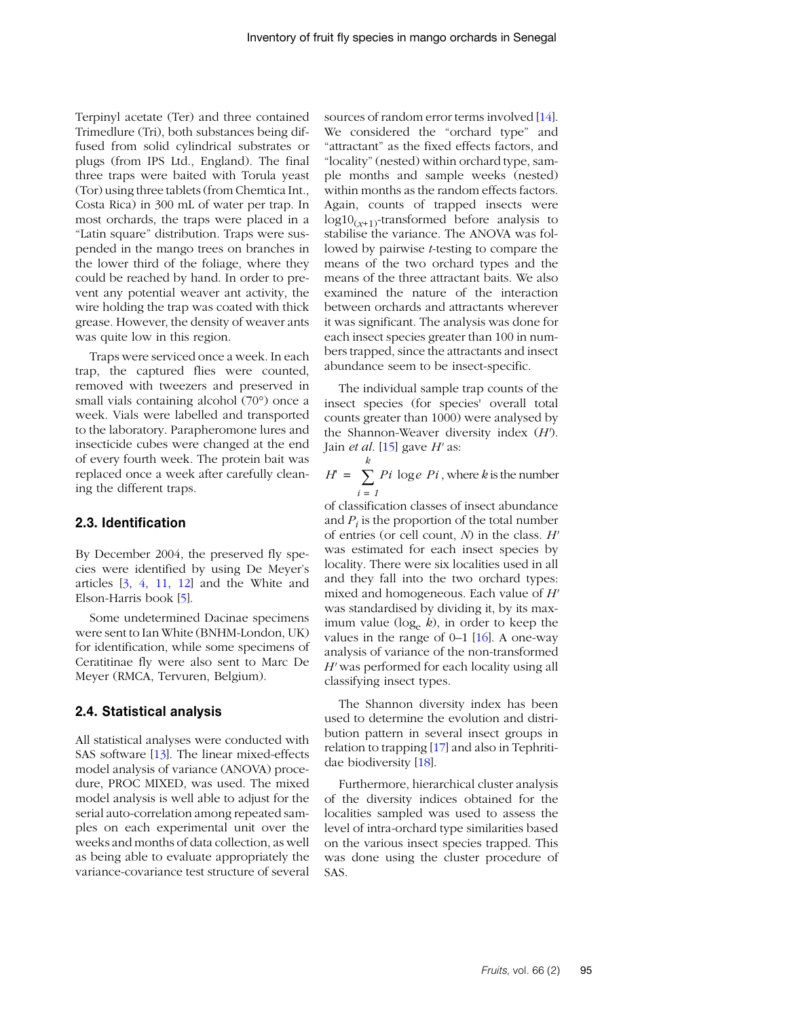Terpinyl acetate (Ter) and three contained Trimedlure (Tri), both substances being diffused from solid cylindrical substrates or plugs (from IPS Ltd., England). The final three traps were baited with Torula yeast (Tor) using three tablets (from Chemtica Int., Costa Rica) in 300 mL of water per trap. In most orchards, the traps were placed in a "Latin square" distribution. Traps were suspended in the mango trees on branches in the lower third of the foliage, where they could be reached by hand. In order to prevent any potential weaver ant activity, the wire holding the trap was coated with thick grease. However, the density of weaver ants was quite low in this region.

Traps were serviced once a week. In each trap, the captured flies were counted, removed with tweezers and preserved in small vials containing alcohol (70°) once a week. Vials were labelled and transported to the laboratory. Parapheromone lures and insecticide cubes were changed at the end of every fourth week. The protein bait was replaced once a week after carefully cleaning the different traps.

#### **2.3. Identification**

By December 2004, the preserved fly species were identified by using De Meyer's articles [\[3,](#page-14-2) [4](#page-14-3), [11](#page-14-9), [12](#page-14-10)] and the White and Elson-Harris book [[5](#page-14-8)].

Some undetermined Dacinae specimens were sent to Ian White (BNHM-London, UK) for identification, while some specimens of Ceratitinae fly were also sent to Marc De Meyer (RMCA, Tervuren, Belgium).

#### **2.4. Statistical analysis**

All statistical analyses were conducted with SAS software [\[13\]](#page-14-15). The linear mixed-effects model analysis of variance (ANOVA) procedure, PROC MIXED, was used. The mixed model analysis is well able to adjust for the serial auto-correlation among repeated samples on each experimental unit over the weeks and months of data collection, as well as being able to evaluate appropriately the variance-covariance test structure of several sources of random error terms involved [\[14\]](#page-14-16). We considered the "orchard type" and "attractant" as the fixed effects factors, and "locality" (nested) within orchard type, sample months and sample weeks (nested) within months as the random effects factors. Again, counts of trapped insects were  $log10(x+1)$ -transformed before analysis to stabilise the variance. The ANOVA was followed by pairwise *t*-testing to compare the means of the two orchard types and the means of the three attractant baits. We also examined the nature of the interaction between orchards and attractants wherever it was significant. The analysis was done for each insect species greater than 100 in numbers trapped, since the attractants and insect abundance seem to be insect-specific.

The individual sample trap counts of the insect species (for species' overall total counts greater than 1000) were analysed by the Shannon-Weaver diversity index (*H'*). Jain *et al*. [\[15\]](#page-14-11) gave *H'* as:

 $H' = \sum P_i$  log *e*  $P_i$ , where *k* is the number  $i = 1$ *k*

of classification classes of insect abundance and  $P_i$  is the proportion of the total number of entries (or cell count, *N*) in the class. *H'* was estimated for each insect species by locality. There were six localities used in all and they fall into the two orchard types: mixed and homogeneous. Each value of *H'* was standardised by dividing it, by its maximum value ( $log_e k$ ), in order to keep the values in the range of  $0-1$  [\[16\]](#page-14-12). A one-way analysis of variance of the non-transformed *H'* was performed for each locality using all classifying insect types.

The Shannon diversity index has been used to determine the evolution and distribution pattern in several insect groups in relation to trapping [\[17\]](#page-14-13) and also in Tephritidae biodiversity [\[18\]](#page-14-14).

Furthermore, hierarchical cluster analysis of the diversity indices obtained for the localities sampled was used to assess the level of intra-orchard type similarities based on the various insect species trapped. This was done using the cluster procedure of SAS.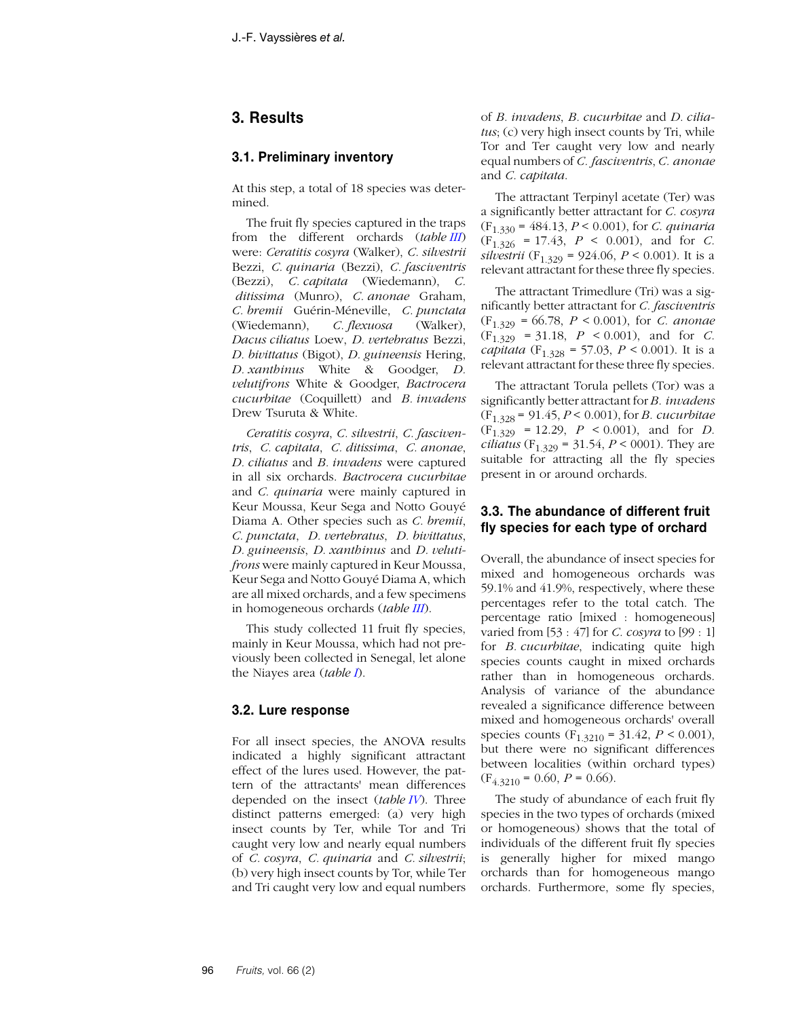# **3. Results**

## **3.1. Preliminary inventory**

At this step, a total of 18 species was determined.

The fruit fly species captured in the traps from the different orchards (*table [III](#page-6-0)*) were: *Ceratitis cosyra* (Walker), *C. silvestrii* Bezzi, *C. quinaria* (Bezzi), *C. fasciventris* (Bezzi), *C. capitata* (Wiedemann), *C. ditissima* (Munro), *C. anonae* Graham, *C. bremii* Guérin-Méneville, *C. punctata* (Wiedemann), *C. flexuosa* (Walker), *Dacus ciliatus* Loew, *D. vertebratus* Bezzi, *D. bivittatus* (Bigot), *D. guineensis* Hering, *D. xanthinus* White & Goodger, *D. velutifrons* White & Goodger, *Bactrocera cucurbitae* (Coquillett) and *B. invadens* Drew Tsuruta & White.

*Ceratitis cosyra*, *C. silvestrii*, *C. fasciventris*, *C. capitata*, *C. ditissima*, *C. anonae*, *D. ciliatus* and *B. invadens* were captured in all six orchards. *Bactrocera cucurbitae* and *C. quinaria* were mainly captured in Keur Moussa, Keur Sega and Notto Gouyé Diama A. Other species such as *C. bremii*, *C. punctata*, *D. vertebratus*, *D. bivittatus*, *D. guineensis*, *D. xanthinus* and *D. velutifrons* were mainly captured in Keur Moussa, Keur Sega and Notto Gouyé Diama A, which are all mixed orchards, and a few specimens in homogeneous orchards (*table [III](#page-6-0)*).

This study collected 11 fruit fly species, mainly in Keur Moussa, which had not previously been collected in Senegal, let alone the Niayes area (*table I*).

#### **3.2. Lure response**

For all insect species, the ANOVA results indicated a highly significant attractant effect of the lures used. However, the pattern of the attractants' mean differences depended on the insect (*table [IV](#page-7-0)*). Three distinct patterns emerged: (a) very high insect counts by Ter, while Tor and Tri caught very low and nearly equal numbers of *C. cosyra*, *C. quinaria* and *C. silvestrii*; (b) very high insect counts by Tor, while Ter and Tri caught very low and equal numbers of *B. invadens*, *B. cucurbitae* and *D. ciliatus*; (c) very high insect counts by Tri, while Tor and Ter caught very low and nearly equal numbers of *C. fasciventris*, *C. anonae* and *C. capitata*.

The attractant Terpinyl acetate (Ter) was a significantly better attractant for *C. cosyra* (F1.330 = 484.13, *P* < 0.001), for *C. quinaria*  $(F_{1,326} = 17.43, P \le 0.001)$ , and for *C*. *silvestrii* (F<sub>1.329</sub> = 924.06, *P* < 0.001). It is a relevant attractant for these three fly species.

The attractant Trimedlure (Tri) was a significantly better attractant for *C. fasciventris* (F1.329 = 66.78, *P* < 0.001), for *C. anonae* (F1.329 = 31.18, *P* < 0.001), and for *C. capitata* (F<sub>1.328</sub> = 57.03, *P* < 0.001). It is a relevant attractant for these three fly species.

The attractant Torula pellets (Tor) was a significantly better attractant for *B. invadens* (F1.328 = 91.45, *P* < 0.001), for *B. cucurbitae* (F1.329 = 12.29, *P* < 0.001), and for *D. ciliatus* ( $F_{1,329} = 31.54$ ,  $P < 0001$ ). They are suitable for attracting all the fly species present in or around orchards.

## **3.3. The abundance of different fruit fly species for each type of orchard**

Overall, the abundance of insect species for mixed and homogeneous orchards was 59.1% and 41.9%, respectively, where these percentages refer to the total catch. The percentage ratio [mixed : homogeneous] varied from [53 : 47] for *C. cosyra* to [99 : 1] for *B. cucurbitae*, indicating quite high species counts caught in mixed orchards rather than in homogeneous orchards. Analysis of variance of the abundance revealed a significance difference between mixed and homogeneous orchards' overall species counts  $(F_{1,3210} = 31.42, P < 0.001)$ , but there were no significant differences between localities (within orchard types)  $(F_{4.3210} = 0.60, P = 0.66).$ 

The study of abundance of each fruit fly species in the two types of orchards (mixed or homogeneous) shows that the total of individuals of the different fruit fly species is generally higher for mixed mango orchards than for homogeneous mango orchards. Furthermore, some fly species,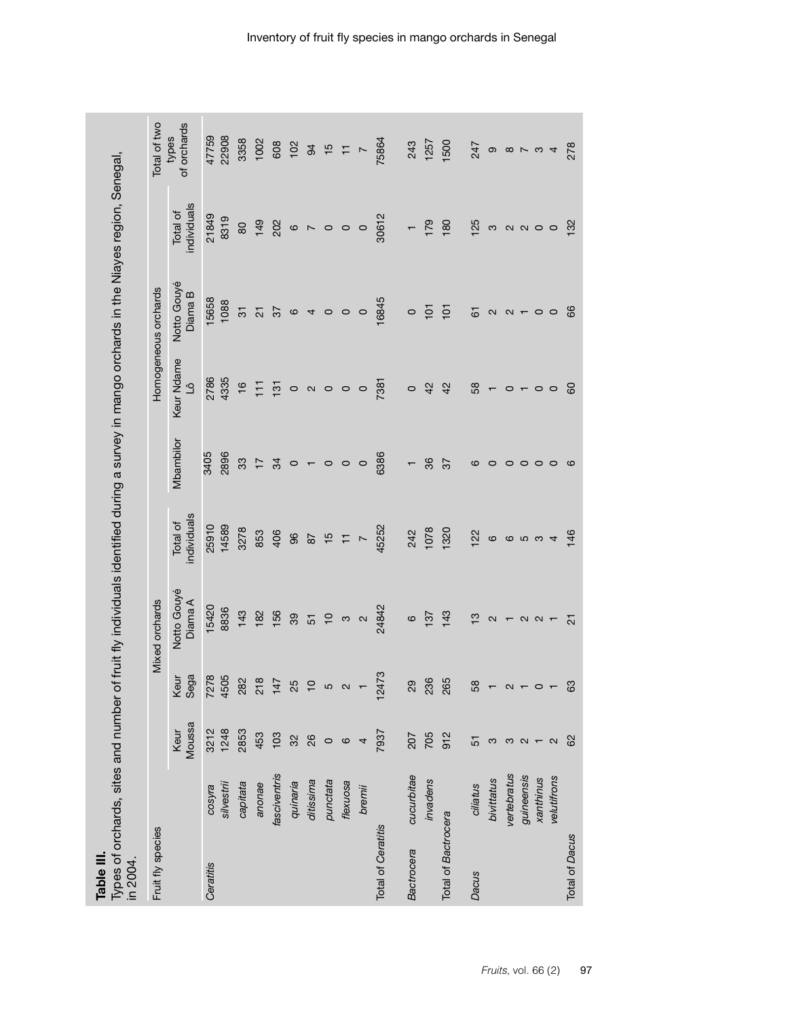<span id="page-6-0"></span>

| Table III.<br>in 2004.     |              |                 |                   | Types of orchards, sites and number of fruit fly individuals identified during a survey in mango orchards in the Niayes region, Senegal, |                         |                          |                           |                           |                         |                         |
|----------------------------|--------------|-----------------|-------------------|------------------------------------------------------------------------------------------------------------------------------------------|-------------------------|--------------------------|---------------------------|---------------------------|-------------------------|-------------------------|
| Fruit fly species          |              |                 |                   | <b>Mixed orchards</b>                                                                                                                    |                         |                          |                           | Homogeneous orchards      |                         | Total of two            |
|                            |              | Moussa<br>Keur  | Sega<br>Keur      | Notto Gouyé<br>Diama A                                                                                                                   | individuals<br>Total of | Mbambilor                | Keur Ndame<br>$\tilde{c}$ | Notto Gouyé<br>Diama B    | individuals<br>Total of | of orchards<br>types    |
| Ceratitis                  | cosyra       | 3212            | 7278              | 15420                                                                                                                                    | 25910                   | 3405                     | 2786                      | 15658                     | 21849                   | 47759                   |
|                            | silvestrii   | 1248            | 4505              | 8836                                                                                                                                     | 14589                   | 2896                     | 4335                      | 1088                      | 8319                    | 22908                   |
|                            | capitata     | 2853            | 282               | 143                                                                                                                                      | 3278                    | 33                       | $\frac{6}{1}$             | $\overline{\mathfrak{S}}$ | $\rm ^{80}$             | 3358                    |
|                            | anonae       | 453             | 218               | 182                                                                                                                                      | 853                     | $\overline{1}$           | 111                       | $\overline{2}$            | 149                     | 1002                    |
|                            | fasciventris | 103             | 147               | 156                                                                                                                                      | 406                     | 34                       | 131                       | 57                        | 202                     | 608                     |
|                            | quinaria     | 32              | 25                | 39                                                                                                                                       | 96                      | $\circ$                  | $\circ$                   | $\mathbf{\circ}$          | $\sim$                  | 102                     |
|                            | ditissima    | 26              | $\overline{1}$    | 51                                                                                                                                       | 87                      | $\overline{\phantom{0}}$ | $\sim$                    | 4                         |                         | 94                      |
|                            | punctata     | $\circ$         | 5                 | $\overline{C}$                                                                                                                           | $\frac{5}{1}$           | $\circ$                  | $\circ$                   | $\circ$                   | $\circ$                 | $\frac{15}{2}$          |
|                            | flexuosa     | 6               | $\mathbf{\Omega}$ | S                                                                                                                                        | $\overline{+}$          | $\circ$                  | $\circ$                   | $\circ$                   | $\circ$                 | $\overline{\mathbf{r}}$ |
|                            | bremii       | 4               |                   | $\sim$                                                                                                                                   | $\overline{ }$          | $\circ$                  | $\circ$                   | $\circ$                   | $\circ$                 | $\overline{ }$          |
| <b>Total of Ceratitis</b>  |              | 7937            | 2473              | 24842                                                                                                                                    | 45252                   | 6386                     | 7381                      | 16845                     | 30612                   | 75864                   |
| Bactrocera                 | cucurbitae   | 207             | $\overline{6}$    | ဖ                                                                                                                                        | 242                     | $\overline{\phantom{0}}$ | $\circ$                   | $\circ$                   | $\mathbf{\tau}$         | 243                     |
|                            | invadens     | 705             | 236               | 137                                                                                                                                      | 1078                    | 36                       | 42                        | $\frac{5}{1}$             | 179                     | 1257                    |
| <b>Total of Bactrocera</b> |              | 912             | 265               | 143                                                                                                                                      | 1320                    | 57                       | 42                        | $\overline{101}$          | 180                     | 1500                    |
| Dacus                      | ciliatus     | 51              | 58                | က္                                                                                                                                       | 122                     | ဖ                        | 58                        | 67                        | 125                     | 247                     |
|                            | bivittatus   | S               |                   | $\mathbf{\Omega}$                                                                                                                        | $\circ$                 | 0                        |                           | $\sim$                    | S                       | ၜ                       |
|                            | vertebratus  | S               | $\sim$            |                                                                                                                                          | $\pmb{\circ}$           | $\circ$                  | $\circ$                   | $\mathbf{c}$              | $\sim$ $\sim$           | $\sim$ $\sim$           |
|                            | guineensis   | $\sim$          |                   | $\mathbf{\Omega}$                                                                                                                        | မ                       | $\circ$                  | $\overline{\phantom{0}}$  |                           |                         |                         |
|                            | xanthinus    | $\mathbf{\tau}$ | $\circ$           | $\sim$                                                                                                                                   | က                       | $\circ$                  | $\circ$                   | $\circ$                   | $\circ$                 | S                       |
|                            | velutifrons  | $\sim$          |                   |                                                                                                                                          | $\overline{4}$          | $\circ$                  | $\circ$                   | $\circ$                   | $\circ$                 | $\overline{4}$          |
| Total of Dacus             |              | 8               | යි                | $\overline{\Omega}$                                                                                                                      | 146                     | ဖ                        | 60                        | 66                        | 132                     | 278                     |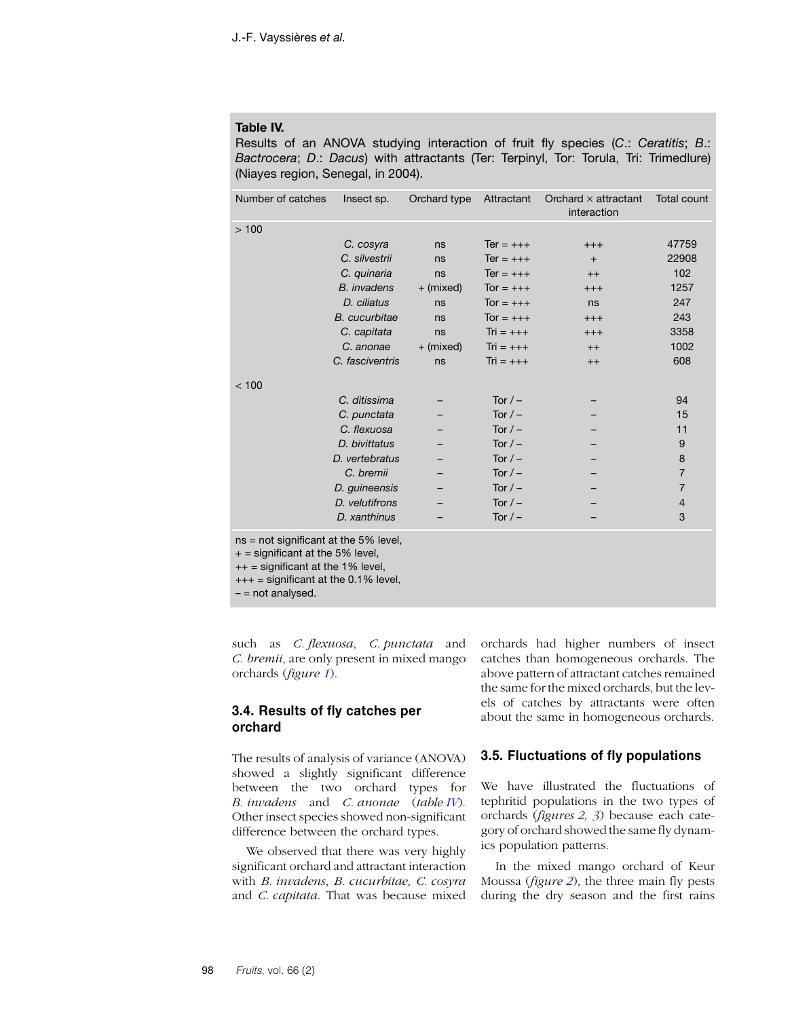#### <span id="page-7-0"></span>**Table IV.**

Results of an ANOVA studying interaction of fruit fly species (*C*.: *Ceratitis*; *B*.: *Bactrocera*; *D*.: *Dacus*) with attractants (Ter: Terpinyl, Tor: Torula, Tri: Trimedlure) (Niayes region, Senegal, in 2004).

| Number of catches | Insect sp.         | Orchard type | Attractant  | Orchard $\times$ attractant<br>interaction | <b>Total count</b> |
|-------------------|--------------------|--------------|-------------|--------------------------------------------|--------------------|
| >100              |                    |              |             |                                            |                    |
|                   | C. cosyra          | ns           | $Ter = +++$ | $+++$                                      | 47759              |
|                   | C. silvestrii      | ns           | $Ter = +++$ | $+$                                        | 22908              |
|                   | C. quinaria        | ns           | $Ter = +++$ | $++$                                       | 102                |
|                   | <b>B.</b> invadens | + (mixed)    | $Tor = +++$ | $+++$                                      | 1257               |
|                   | D. ciliatus        | ns           | $Tor = +++$ | ns                                         | 247                |
|                   | B. cucurbitae      | ns           | $Tor = +++$ | $+++$                                      | 243                |
|                   | C. capitata        | ns           | $Tri = +++$ | $+++$                                      | 3358               |
|                   | C. anonae          | + (mixed)    | $Tri = +++$ | $++$                                       | 1002               |
|                   | C. fasciventris    | ns           | $Tri = +++$ | $++$                                       | 608                |
| < 100             |                    |              |             |                                            |                    |
|                   | C. ditissima       |              | Tor $/ -$   |                                            | 94                 |
|                   | C. punctata        |              | Tor $/ -$   |                                            | 15                 |
|                   | C. flexuosa        |              | Tor $/ -$   |                                            | 11                 |
|                   | D. bivittatus      |              | Tor $/ -$   |                                            | 9                  |
|                   | D. vertebratus     |              | Tor $/ -$   |                                            | 8                  |
|                   | C. bremii          |              | Tor $/ -$   |                                            | $\overline{7}$     |
|                   | D. guineensis      |              | Tor $/ -$   |                                            | 7                  |
|                   | D. velutifrons     |              | Tor $/ -$   |                                            | $\overline{4}$     |
|                   | D. xanthinus       |              | Tor $/ -$   |                                            | 3                  |

ns = not significant at the 5% level,

 $+$  = significant at the 5% level.

 $++$  = significant at the 1% level,

 $+++$  = significant at the 0.1% level,

 $-$  = not analysed.

such as *C. flexuosa*, *C. punctata* and *C. bremii*, are only present in mixed mango orchards (*[figure 1](#page-8-0)*).

## **3.4. Results of fly catches per orchard**

The results of analysis of variance (ANOVA) showed a slightly significant difference between the two orchard types for *B. invadens* and *C. anonae* (*table IV*). Other insect species showed non-significant difference between the orchard types.

We observed that there was very highly significant orchard and attractant interaction with *B. invadens*, *B. cucurbitae*, *C. cosyra* and *C. capitata*. That was because mixed

orchards had higher numbers of insect catches than homogeneous orchards. The above pattern of attractant catches remained the same for the mixed orchards, but the levels of catches by attractants were often about the same in homogeneous orchards.

## **3.5. Fluctuations of fly populations**

We have illustrated the fluctuations of tephritid populations in the two types of orchards (*figures [2](#page-8-0), [3](#page-9-0)*) because each category of orchard showed the same fly dynamics population patterns.

In the mixed mango orchard of Keur Moussa (*figure [2](#page-8-0)*), the three main fly pests during the dry season and the first rains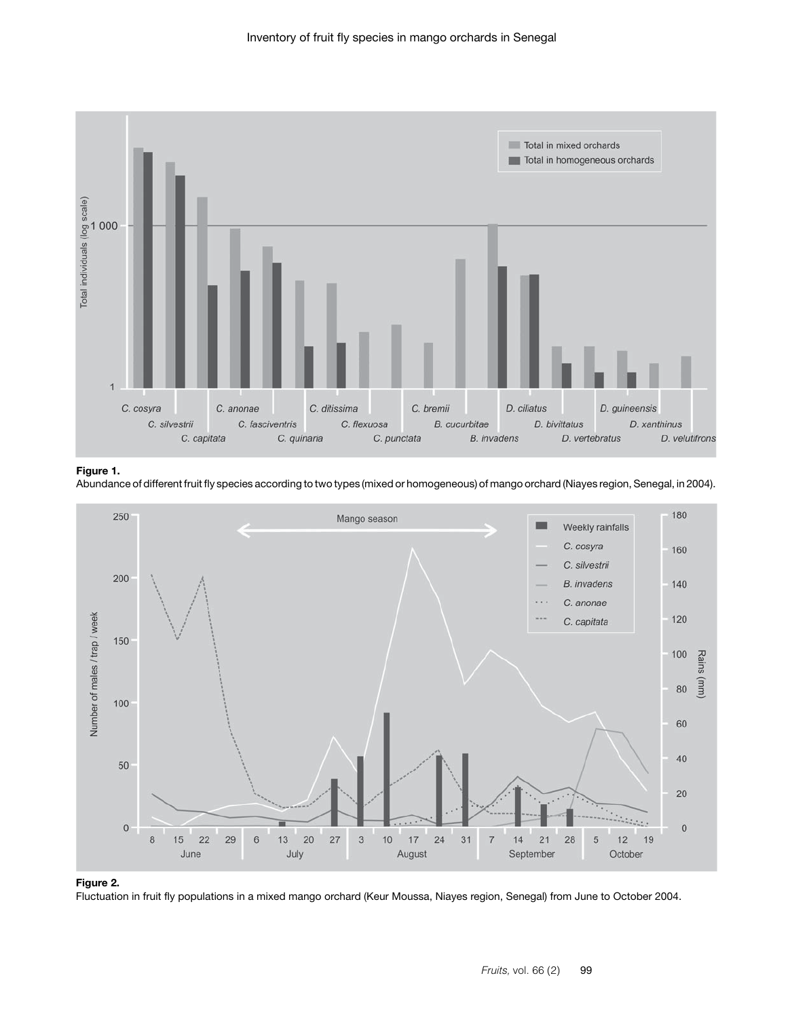<span id="page-8-0"></span>

## **Figure 1.**

Abundance of different fruit fly species according to two types (mixed or homogeneous) of mango orchard (Niayes region, Senegal, in 2004).



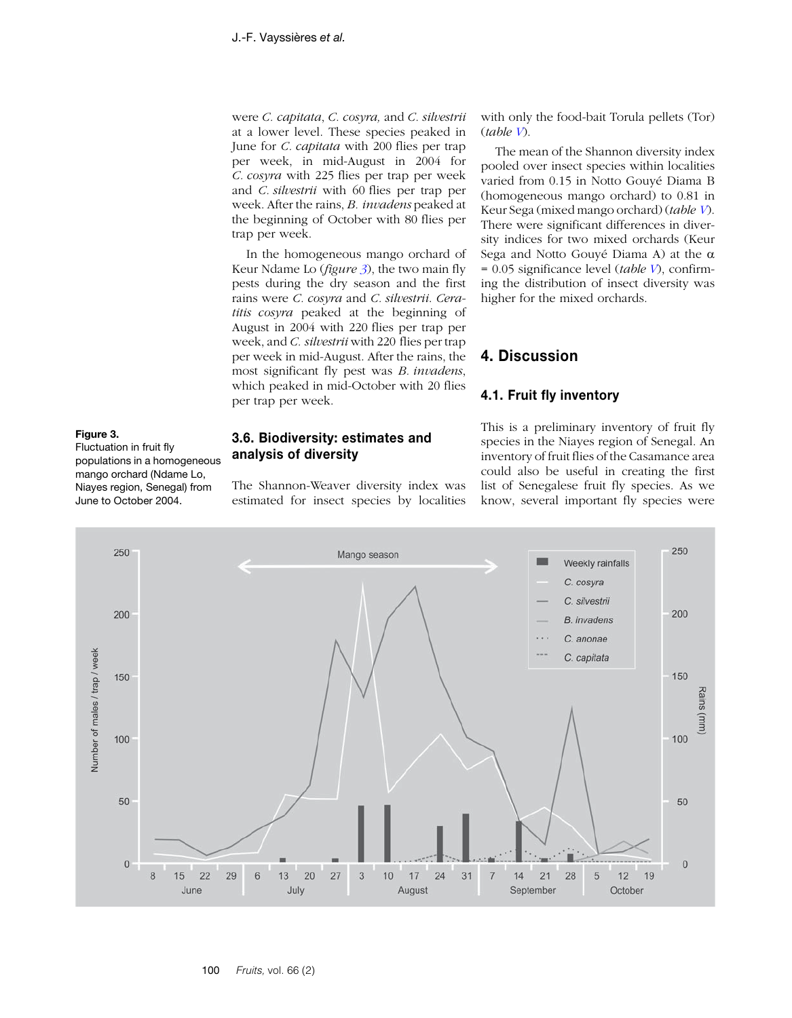<span id="page-9-0"></span>were *C. capitata*, *C. cosyra,* and *C. silvestrii* at a lower level. These species peaked in June for *C. capitata* with 200 flies per trap per week, in mid-August in 2004 for *C. cosyra* with 225 flies per trap per week and *C. silvestrii* with 60 flies per trap per week. After the rains, *B. invadens* peaked at the beginning of October with 80 flies per trap per week.

In the homogeneous mango orchard of Keur Ndame Lo (*figure 3*), the two main fly pests during the dry season and the first rains were *C. cosyra* and *C. silvestrii*. *Ceratitis cosyra* peaked at the beginning of August in 2004 with 220 flies per trap per week, and *C. silvestrii* with 220 flies per trap per week in mid-August. After the rains, the most significant fly pest was *B. invadens*, which peaked in mid-October with 20 flies per trap per week.

**Figure 3.**

Fluctuation in fruit fly populations in a homogeneous mango orchard (Ndame Lo, Niayes region, Senegal) from June to October 2004.

## **3.6. Biodiversity: estimates and analysis of diversity**

The Shannon-Weaver diversity index was estimated for insect species by localities

with only the food-bait Torula pellets (Tor) (*table [V](#page-10-0)*).

The mean of the Shannon diversity index pooled over insect species within localities varied from 0.15 in Notto Gouyé Diama B (homogeneous mango orchard) to 0.81 in Keur Sega (mixed mango orchard) (*table [V](#page-10-0)*). There were significant differences in diversity indices for two mixed orchards (Keur Sega and Notto Gouyé Diama A) at the  $\alpha$ = 0.05 significance level (*table [V](#page-10-0)*), confirming the distribution of insect diversity was higher for the mixed orchards.

# **4. Discussion**

## **4.1. Fruit fly inventory**

This is a preliminary inventory of fruit fly species in the Niayes region of Senegal. An inventory of fruit flies of the Casamance area could also be useful in creating the first list of Senegalese fruit fly species. As we know, several important fly species were

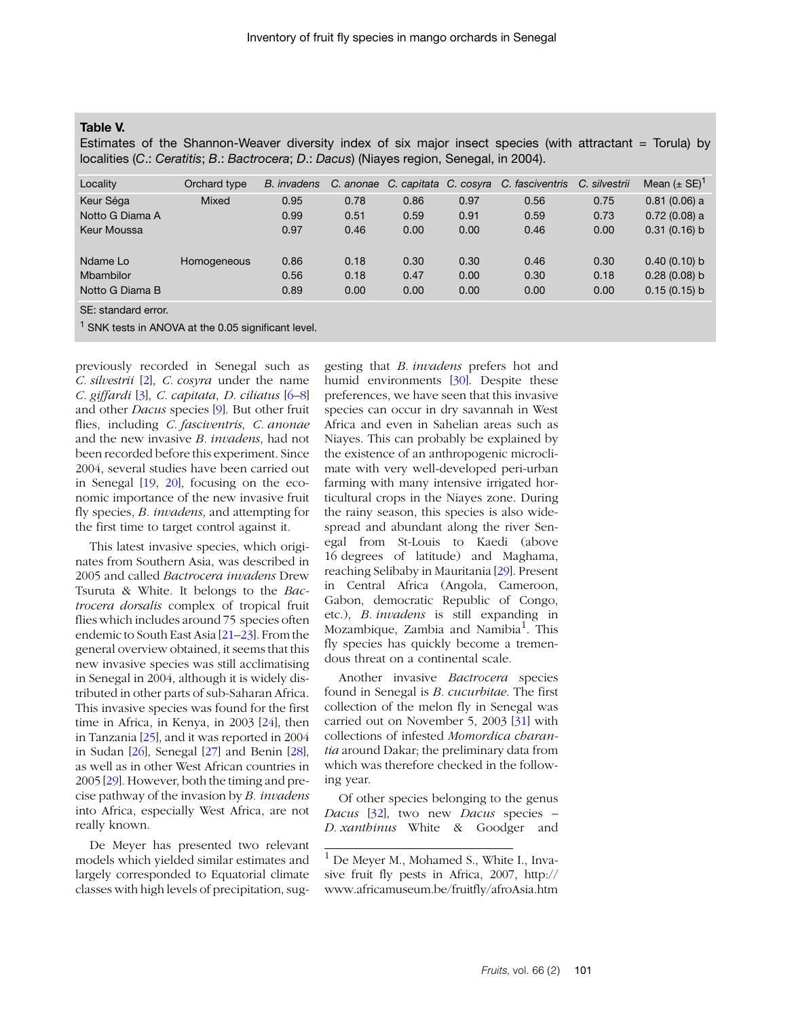| Orchard type | B. invadens |      |      |      | C. fasciventris                 | C. silvestrii | Mean $(\pm$ SE) <sup>1</sup> |
|--------------|-------------|------|------|------|---------------------------------|---------------|------------------------------|
| Mixed        | 0.95        | 0.78 | 0.86 | 0.97 | 0.56                            | 0.75          | 0.81(0.06) a                 |
|              | 0.99        | 0.51 | 0.59 | 0.91 | 0.59                            | 0.73          | $0.72(0.08)$ a               |
|              | 0.97        | 0.46 | 0.00 | 0.00 | 0.46                            | 0.00          | 0.31(0.16) b                 |
|              |             |      |      |      |                                 |               |                              |
| Homogeneous  | 0.86        | 0.18 | 0.30 | 0.30 | 0.46                            | 0.30          | 0.40(0.10) b                 |
|              | 0.56        | 0.18 | 0.47 | 0.00 | 0.30                            | 0.18          | $0.28(0.08)$ b               |
|              | 0.89        | 0.00 | 0.00 | 0.00 | 0.00                            | 0.00          | 0.15(0.15) b                 |
|              |             |      |      |      | C. anonae C. capitata C. cosyra |               |                              |

## <span id="page-10-0"></span>**Table V.**

Estimates of the Shannon-Weaver diversity index of six major insect species (with attractant = Torula) by localities (*C*.: *Ceratitis*; *B*.: *Bactrocera*; *D*.: *Dacus*) (Niayes region, Senegal, in 2004).

SE: standard error.

<sup>1</sup> SNK tests in ANOVA at the 0.05 significant level.

previously recorded in Senegal such as *C. silvestrii* [[2](#page-14-1)], *C. cosyra* under the name *C. giffardi* [\[3](#page-14-2)], *C. capitata*, *D. ciliatus* [[6](#page-14-4)[–](#page-14-5)8] and other *Dacus* species [\[9](#page-14-6)]. But other fruit flies, including *C. fasciventris*, *C. anonae* and the new invasive *B. invadens*[, had not](#page-14-17) [been recorded before this experiment. Since](#page-14-17) 2004, several studies have been carried out [in Senegal \[](#page-14-17)19[,](#page-14-18) 20], focusing on the economic importance of the new invasive fruit fly species, *B. invadens*, and attempting for the first time to target control against it.

This latest invasive species, which originates from Southern Asia, was described in 2005 and called *Bactrocera invadens* Drew Tsuruta & White. It belongs to the *Bactrocera dorsalis* complex of tropical fruit flies which includes around 75 species often endemic to South East Asia [[21](#page-14-19)–[23](#page-14-20)]. From the general overview obtained, it seems that this new invasive species was still acclimatising in Senegal in 2004, although it is widely distributed in other parts of sub-Saharan Africa. This invasive species was found for the first time in Africa, in Kenya, in 2003 [[24](#page-15-0)], then in Tanzania [\[25](#page-15-1)], and it was reported in 2004 in Sudan [\[26\]](#page-15-2), Senegal [\[27\]](#page-15-3) and Benin [\[28\]](#page-15-4), as well as in other West African countries in 2005 [[29](#page-15-5)]. However, both the timing and precise pathway of the invasion by *B. invadens* into Africa, especially West Africa, are not really known.

De Meyer has presented two relevant models which yielded similar estimates and largely corresponded to Equatorial climate classes with high levels of precipitation, suggesting that *B. invadens* prefers hot and humid environments [\[30\]](#page-15-6). Despite these preferences, we have seen that this invasive species can occur in dry savannah in West Africa and even in Sahelian areas such as Niayes. This can probably be explained by the existence of an anthropogenic microclimate with very well-developed peri-urban farming with many intensive irrigated horticultural crops in the Niayes zone. During the rainy season, this species is also widespread and abundant along the river Senegal from St-Louis to Kaedi (above 16 degrees of latitude) and Maghama, reaching Selibaby in Mauritania [[29\]](#page-15-5). Present in Central Africa (Angola, Cameroon, Gabon, democratic Republic of Congo, etc.), *B. invadens* is still expanding in Mozambique, Zambia and Namibia<sup>1</sup>. This fly species has quickly become a tremendous threat on a continental scale.

Another invasive *Bactrocera* species found in Senegal is *B. cucurbitae*. The first collection of the melon fly in Senegal was carried out on November 5, 2003 [[31](#page-15-7)] with collections of infested *Momordica charantia* around Dakar; the preliminary data from which was therefore checked in the following year.

Of other species belonging to the genus *Dacus* [[32](#page-15-8)], two new *Dacus* species – *D. xanthinus* White & Goodger and

<sup>&</sup>lt;sup>1</sup> De Meyer M., Mohamed S., White I., Invasive fruit fly pests in Africa, 2007, http:// www.africamuseum.be/fruitfly/afroAsia.htm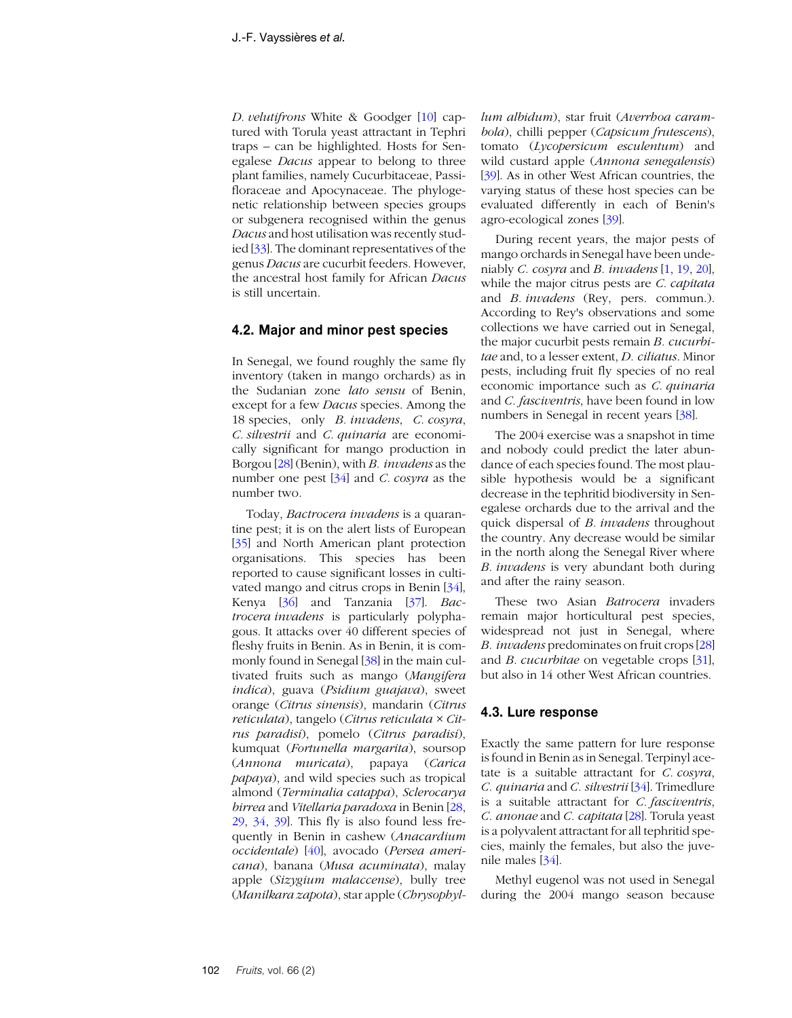*D. velutifrons* White & Goodger [\[10\]](#page-14-7) captured with Torula yeast attractant in Tephri traps – can be highlighted. Hosts for Senegalese *Dacus* appear to belong to three plant families, namely Cucurbitaceae, Passifloraceae and Apocynaceae. The phylogenetic relationship between species groups or subgenera recognised within the genus *Dacus* and host utilisation was recently studied [[33](#page-15-9)]. The dominant representatives of the genus *Dacus* are cucurbit feeders. However, the ancestral host family for African *Dacus* is still uncertain.

## **4.2. Major and minor pest species**

In Senegal, we found roughly the same fly inventory (taken in mango orchards) as in the Sudanian zone *lato sensu* of Benin, except for a few *Dacus* species. Among the 18 species, only *B. invadens*, *C. cosyra*, *C. silvestrii* and *C. quinaria* [are economi](#page-15-4)[cally significant for mango production in](#page-15-4) [Borgou \[](#page-15-4)28] (Benin), with *B. invadens* as the number one pest [[34](#page-15-10)] and *C. cosyra* as the number two.

Today, *Bactrocera invadens* is a quarantine pest; it is on the alert lists of European [[35](#page-15-11)] and North American plant protection organisations. This species has been reported to cause significant losses in cultivated mango and citrus crops in Benin [[34](#page-15-10)], Kenya [\[36\]](#page-15-12) and Tanzania [\[37\]](#page-15-13). *Bactrocera invadens* is particularly polyphagous. It attacks over 40 different species of fleshy fruits in Benin. As in Benin, it is commonly found in Senegal [[38](#page-15-16)] in the main cultivated fruits such as mango (*Mangifera indica*), guava (*Psidium guajava*), sweet orange (*Citrus sinensis*), mandarin (*Citrus reticulata*), tangelo (*Citrus reticulata × Citrus paradisi*), pomelo (*Citrus paradisi*), kumquat (*Fortunella margarita*), soursop (*Annona muricata*), papaya (*Carica papaya*), and wild species such as tropical almond (*Terminalia catappa*), *Sclerocarya birrea* and *Vitellaria paradoxa* in Benin [\[28,](#page-15-4) [29,](#page-15-5) [34,](#page-15-10) [39\]](#page-15-15). This fly is also found less frequently in Benin in cashew (*Anacardium occidentale*[\) \[](#page-15-14)40], avocado (*Persea americana*), banana (*Musa acuminata*), malay apple (*Sizygium malaccense*), bully tree (*Manilkara zapota*), star apple (*Chrysophyl-* *lum albidum*), star fruit (*Averrhoa carambola*), chilli pepper (*Capsicum frutescens*), tomato (*Lycopersicum esculentum*) and wild custard apple (*Annona senegalensis*[\)](#page-15-15) [\[3](#page-15-15)9]. As in other West African countries, the varying status of these host species can be evaluated differently in each of Benin's agro-ecological zones [\[39\]](#page-15-15).

During recent years, the major pests of mango orchards in Senegal have been undeniably *C. cosyra* and *B. invadens* [\[1](#page-14-0), [19](#page-14-17), [20](#page-14-18)], while the major citrus pests are *C. capitata* and *B. invadens* (Rey, pers. commun.). According to Rey's observations and some collections we have carried out in Senegal, the major cucurbit pests remain *B. cucurbitae* and, to a lesser extent, *D. ciliatus*. Minor pests, including fruit fly species of no real economic importance such as *C. quinaria* and *C. fasciventris*[, have been found in low](#page-15-16) [numbers in Senegal in recent years \[](#page-15-16)38].

The 2004 exercise was a snapshot in time and nobody could predict the later abundance of each species found. The most plausible hypothesis would be a significant decrease in the tephritid biodiversity in Senegalese orchards due to the arrival and the quick dispersal of *B. invadens* throughout the country. Any decrease would be similar in the north along the Senegal River where *B. invadens* is very abundant both during and after the rainy season.

These two Asian *Batrocera* invaders remain major horticultural pest species, widespread not just in Senegal, where *B. invadens* predominates on fruit crops [\[28\]](#page-15-4) and *B. cucurbitae* on vegetable crops [[31](#page-15-7)], but also in 14 other West African countries.

#### **4.3. Lure response**

Exactly the same pattern for lure response is found in Benin as in Senegal. Terpinyl acetate is a suitable attractant for *C. cosyra*, *C. quinaria* and *C. silvestrii* [\[34\]](#page-15-10). Trimedlure is a suitable attractant for *C. fasciventris*, *C. anonae* and *C. capitata* [\[28\]](#page-15-4). Torula yeast is a polyvalent attractant for all tephritid species, mainly the females, but also the juvenile males [\[34\]](#page-15-10).

Methyl eugenol was not used in Senegal during the 2004 mango season because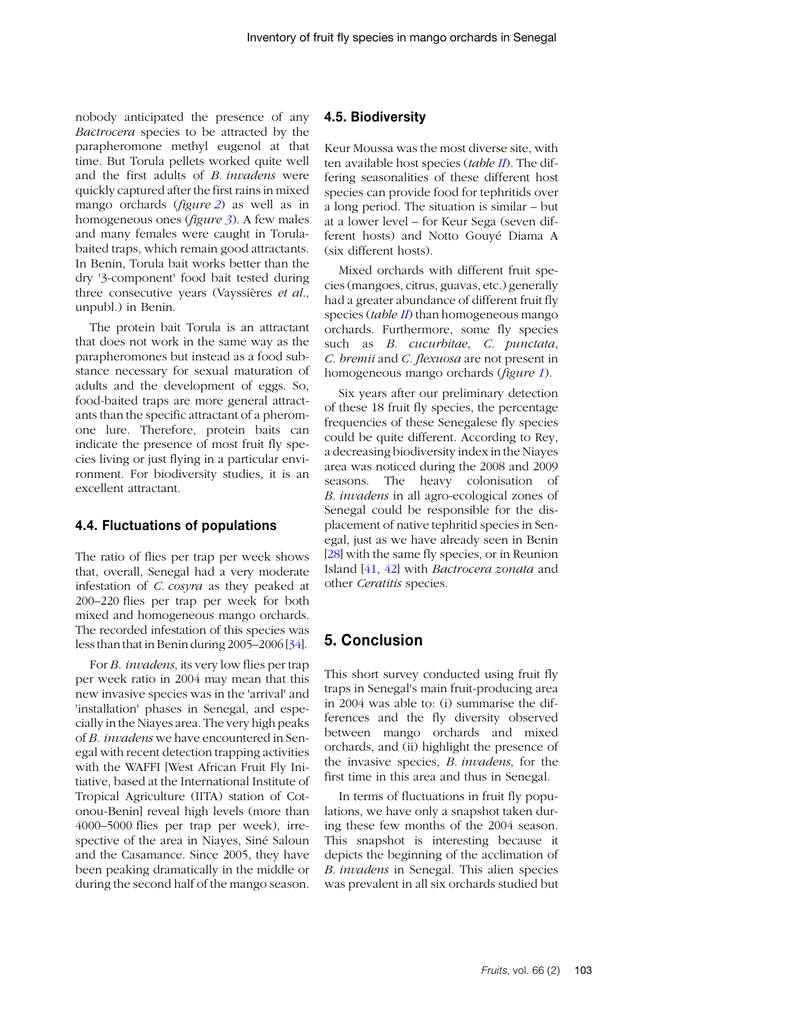nobody anticipated the presence of any *Bactrocera* species to be attracted by the parapheromone methyl eugenol at that time. But Torula pellets worked quite well and the first adults of *B. invadens* were quickly captured after the first rains in mixed mango orchards (*figure [2](#page-8-0)*) as well as in homogeneous ones (*figure [3](#page-9-0)*). A few males and many females were caught in Torulabaited traps, which remain good attractants. In Benin, Torula bait works better than the dry '3-component' food bait tested during three consecutive years (Vayssières *et al*., unpubl.) in Benin.

The protein bait Torula is an attractant that does not work in the same way as the parapheromones but instead as a food substance necessary for sexual maturation of adults and the development of eggs. So, food-baited traps are more general attractants than the specific attractant of a pheromone lure. Therefore, protein baits can indicate the presence of most fruit fly species living or just flying in a particular environment. For biodiversity studies, it is an excellent attractant.

#### **4.4. Fluctuations of populations**

The ratio of flies per trap per week shows that, overall, Senegal had a very moderate infestation of *C. cosyra* as they peaked at 200–220 flies per trap per week for both mixed and homogeneous mango orchards. The recorded infestation of this species was less than that in Benin during 2005–2006 [[34](#page-15-10)].

For *B. invadens*, its very low flies per trap per week ratio in 2004 may mean that this new invasive species was in the 'arrival' and 'installation' phases in Senegal, and especially in the Niayes area. The very high peaks of *B. invadens* we have encountered in Senegal with recent detection trapping activities with the WAFFI [West African Fruit Fly Initiative, based at the International Institute of Tropical Agriculture (IITA) station of Cotonou-Benin] reveal high levels (more than 4000–5000 flies per trap per week), irrespective of the area in Niayes, Siné Saloun and the Casamance. Since 2005, they have been peaking dramatically in the middle or during the second half of the mango season.

#### **4.5. Biodiversity**

Keur Moussa was the most diverse site, with ten available host species (*table [II](#page-3-0)*). The differing seasonalities of these different host species can provide food for tephritids over a long period. The situation is similar – but at a lower level – for Keur Sega (seven different hosts) and Notto Gouyé Diama A (six different hosts).

Mixed orchards with different fruit species (mangoes, citrus, guavas, etc.) generally had a greater abundance of different fruit fly species (*table [II](#page-3-0)*) than homogeneous mango orchards. Furthermore, some fly species such as *B. cucurbitae*, *C. punctata*, *C. bremii* and *C. flexuosa* are not present in homogeneous mango orchards (*figure [1](#page-8-0)*).

Six years after our preliminary detection of these 18 fruit fly species, the percentage frequencies of these Senegalese fly species could be quite different. According to Rey, a decreasing biodiversity index in the Niayes area was noticed during the 2008 and 2009 seasons. The heavy colonisation of *B. invadens* in all agro-ecological zones of Senegal could be responsible for the displacement of native tephritid species in Senegal, just as we have already seen in Benin [\[28\]](#page-15-4) with the same fly species, or in Reunion Island [[41](#page-15-17), [42](#page-15-18)] with *Bactrocera zonata* and other *Ceratitis* species.

## **5. Conclusion**

This short survey conducted using fruit fly traps in Senegal's main fruit-producing area in 2004 was able to: (i) summarise the differences and the fly diversity observed between mango orchards and mixed orchards, and (ii) highlight the presence of the invasive species, *B. invadens*, for the first time in this area and thus in Senegal.

In terms of fluctuations in fruit fly populations, we have only a snapshot taken during these few months of the 2004 season. This snapshot is interesting because it depicts the beginning of the acclimation of *B. invadens* in Senegal. This alien species was prevalent in all six orchards studied but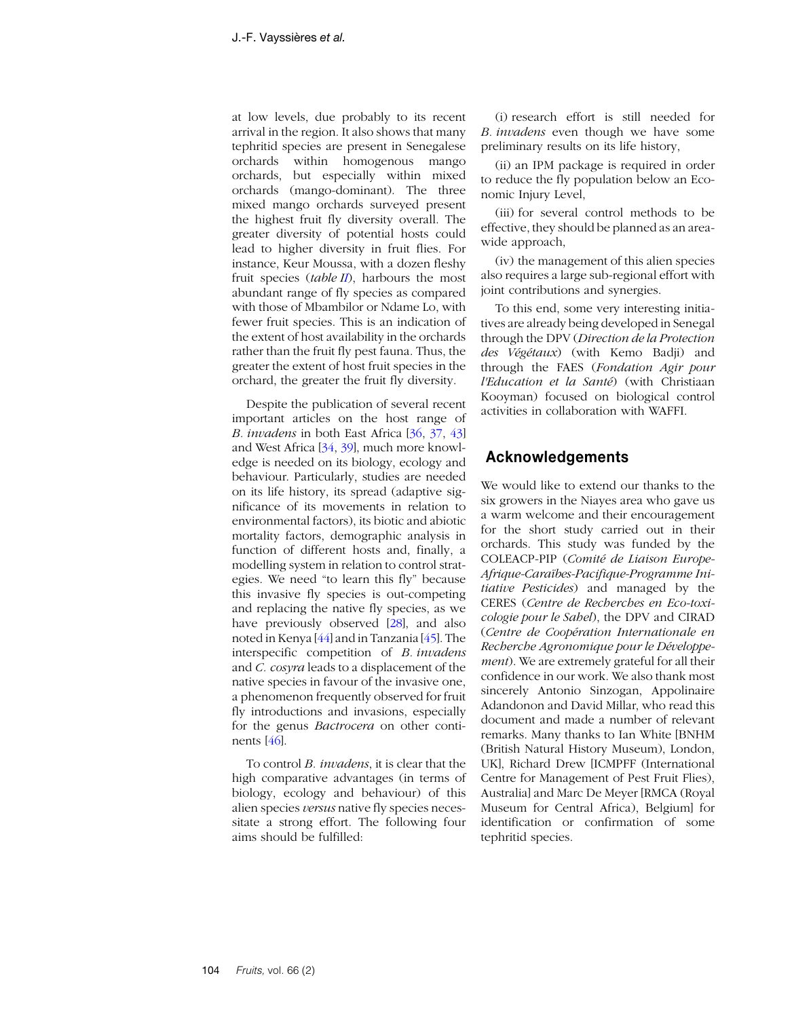at low levels, due probably to its recent arrival in the region. It also shows that many tephritid species are present in Senegalese orchards within homogenous mango orchards, but especially within mixed orchards (mango-dominant). The three mixed mango orchards surveyed present the highest fruit fly diversity overall. The greater diversity of potential hosts could lead to higher diversity in fruit flies. For instance, Keur Moussa, with a dozen fleshy fruit species (*table [II](#page-3-0)*), harbours the most abundant range of fly species as compared with those of Mbambilor or Ndame Lo, with fewer fruit species. This is an indication of the extent of host availability in the orchards rather than the fruit fly pest fauna. Thus, the greater the extent of host fruit species in the orchard, the greater the fruit fly diversity.

Despite the publication of several recent important articles on the host range of *B. invadens* in both East Africa [[36](#page-15-12), [37,](#page-15-13) [43\]](#page-15-19) and West Africa [[34](#page-15-10), [39\]](#page-15-15), much more knowledge is needed on its biology, ecology and behaviour. Particularly, studies are needed on its life history, its spread (adaptive significance of its movements in relation to environmental factors), its biotic and abiotic mortality factors, demographic analysis in function of different hosts and, finally, a modelling system in relation to control strategies. We need "to learn this fly" because this invasive fly species is out-competing and replacing the native fly species, as we have previously observed [[28](#page-15-4)], and also noted in Kenya [\[44\]](#page-15-20) and in Tanzania [[45](#page-16-0)]. The interspecific competition of *B. invadens* and *C. cosyra* leads to a displacement of the native species in favour of the invasive one, a phenomenon frequently observed for fruit fly introductions and invasions, especially for the genus *Bactrocera* on other continents [\[46\]](#page-16-1).

To control *B. invadens*, it is clear that the high comparative advantages (in terms of biology, ecology and behaviour) of this alien species *versus* native fly species necessitate a strong effort. The following four aims should be fulfilled:

(i) research effort is still needed for *B. invadens* even though we have some preliminary results on its life history,

(ii) an IPM package is required in order to reduce the fly population below an Economic Injury Level,

(iii) for several control methods to be effective, they should be planned as an areawide approach,

(iv) the management of this alien species also requires a large sub-regional effort with joint contributions and synergies.

To this end, some very interesting initiatives are already being developed in Senegal through the DPV (*Direction de la Protection des Végétaux*) (with Kemo Badji) and through the FAES (*Fondation Agir pour l'Education et la Santé*) (with Christiaan Kooyman) focused on biological control activities in collaboration with WAFFI.

## **Acknowledgements**

We would like to extend our thanks to the six growers in the Niayes area who gave us a warm welcome and their encouragement for the short study carried out in their orchards. This study was funded by the COLEACP-PIP (*Comité de Liaison Europe-Afrique-Caraïbes-Pacifique-Programme Initiative Pesticides*) and managed by the CERES (*Centre de Recherches en Eco-toxicologie pour le Sahel*), the DPV and CIRAD (*Centre de Coopération Internationale en Recherche Agronomique pour le Développement*). We are extremely grateful for all their confidence in our work. We also thank most sincerely Antonio Sinzogan, Appolinaire Adandonon and David Millar, who read this document and made a number of relevant remarks. Many thanks to Ian White [BNHM (British Natural History Museum), London, UK], Richard Drew [ICMPFF (International Centre for Management of Pest Fruit Flies), Australia] and Marc De Meyer [RMCA (Royal Museum for Central Africa), Belgium] for identification or confirmation of some tephritid species.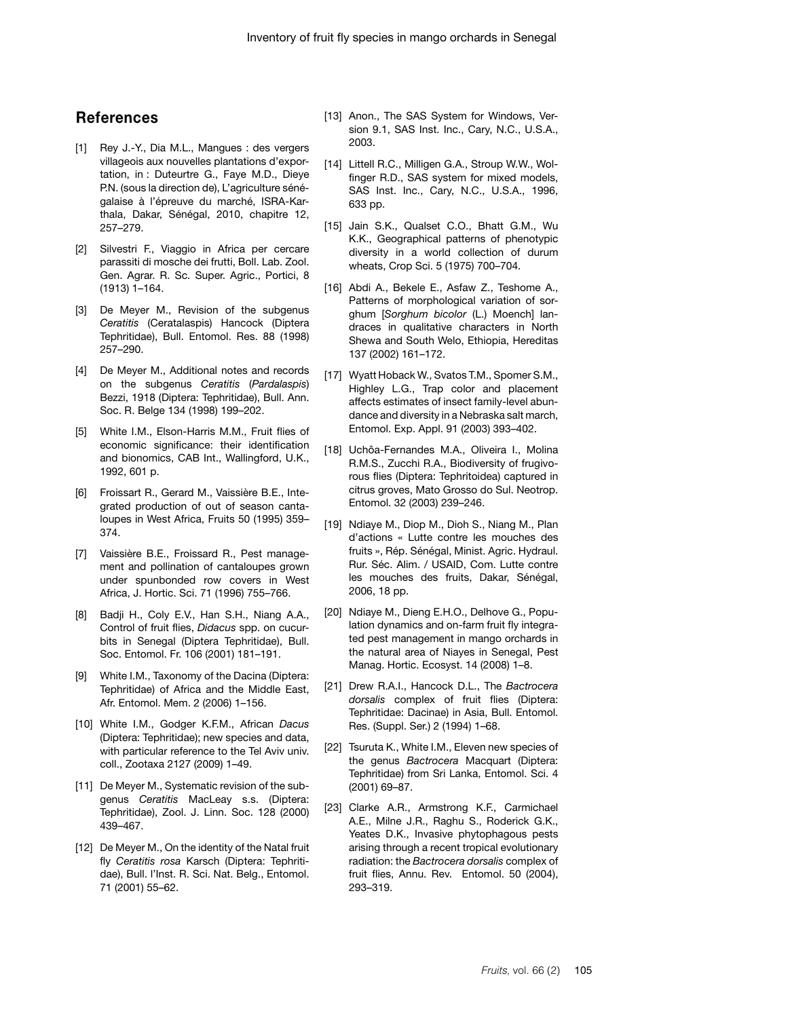## **References**

- <span id="page-14-0"></span>[1] Rey J.-Y., Dia M.L., Mangues : des vergers villageois aux nouvelles plantations d'exportation, in : Duteurtre G., Faye M.D., Dieye P.N. (sous la direction de), L'agriculture sénégalaise à l'épreuve du marché, ISRA-Karthala, Dakar, Sénégal, 2010, chapitre 12, 257–279.
- <span id="page-14-1"></span>[2] Silvestri F., Viaggio in Africa per cercare parassiti di mosche dei frutti, Boll. Lab. Zool. Gen. Agrar. R. Sc. Super. Agric., Portici, 8 (1913) 1–164.
- <span id="page-14-2"></span>[3] De Meyer M., Revision of the subgenus *Ceratitis* (Ceratalaspis) Hancock (Diptera Tephritidae), Bull. Entomol. Res. 88 (1998) 257–290.
- <span id="page-14-3"></span>[4] De Meyer M., Additional notes and records on the subgenus *Ceratitis* (*Pardalaspis*) Bezzi, 1918 (Diptera: Tephritidae), Bull. Ann. Soc. R. Belge 134 (1998) 199–202.
- <span id="page-14-8"></span>[5] White I.M., Elson-Harris M.M., Fruit flies of economic significance: their identification and bionomics, CAB Int., Wallingford, U.K., 1992, 601 p.
- <span id="page-14-4"></span>[6] Froissart R., Gerard M., Vaissière B.E., Integrated production of out of season cantaloupes in West Africa, Fruits 50 (1995) 359– 374.
- [7] Vaissière B.E., Froissard R., Pest management and pollination of cantaloupes grown under spunbonded row covers in West Africa, J. Hortic. Sci. 71 (1996) 755–766.
- <span id="page-14-5"></span>[8] Badji H., Coly E.V., Han S.H., Niang A.A., Control of fruit flies, *Didacus* spp. on cucurbits in Senegal (Diptera Tephritidae), Bull. Soc. Entomol. Fr. 106 (2001) 181–191.
- <span id="page-14-6"></span>[9] White I.M., Taxonomy of the Dacina (Diptera: Tephritidae) of Africa and the Middle East, Afr. Entomol. Mem. 2 (2006) 1–156.
- <span id="page-14-7"></span>[10] White I.M., Godger K.F.M., African *Dacus* (Diptera: Tephritidae); new species and data, with particular reference to the Tel Aviv univ. coll., Zootaxa 2127 (2009) 1–49.
- <span id="page-14-9"></span>[11] De Meyer M., Systematic revision of the subgenus *Ceratitis* MacLeay s.s. (Diptera: Tephritidae), Zool. J. Linn. Soc. 128 (2000) 439–467.
- <span id="page-14-10"></span>[12] De Meyer M., On the identity of the Natal fruit fly *Ceratitis rosa* Karsch (Diptera: Tephritidae), Bull. l'Inst. R. Sci. Nat. Belg., Entomol. 71 (2001) 55–62.
- <span id="page-14-15"></span>[13] Anon., The SAS System for Windows, Version 9.1, SAS Inst. Inc., Cary, N.C., U.S.A., 2003.
- <span id="page-14-16"></span>[14] Littell R.C., Milligen G.A., Stroup W.W., Wolfinger R.D., SAS system for mixed models, SAS Inst. Inc., Cary, N.C., U.S.A., 1996, 633 pp.
- <span id="page-14-11"></span>[15] Jain S.K., Qualset C.O., Bhatt G.M., Wu K.K., Geographical patterns of phenotypic diversity in a world collection of durum wheats, Crop Sci. 5 (1975) 700–704.
- <span id="page-14-12"></span>[16] Abdi A., Bekele E., Asfaw Z., Teshome A., Patterns of morphological variation of sorghum [*Sorghum bicolor* (L.) Moench] landraces in qualitative characters in North Shewa and South Welo, Ethiopia, Hereditas 137 (2002) 161–172.
- <span id="page-14-13"></span>[17] Wyatt Hoback W., Svatos T.M., Spomer S.M., Highley L.G., Trap color and placement affects estimates of insect family-level abundance and diversity in a Nebraska salt march, Entomol. Exp. Appl. 91 (2003) 393–402.
- <span id="page-14-14"></span>[18] Uchôa-Fernandes M.A., Oliveira I., Molina R.M.S., Zucchi R.A., Biodiversity of frugivorous flies (Diptera: Tephritoidea) captured in citrus groves, Mato Grosso do Sul. Neotrop. Entomol. 32 (2003) 239–246.
- <span id="page-14-17"></span>[19] Ndiaye M., Diop M., Dioh S., Niang M., Plan d'actions « Lutte contre les mouches des fruits », Rép. Sénégal, Minist. Agric. Hydraul. Rur. Séc. Alim. / USAID, Com. Lutte contre les mouches des fruits, Dakar, Sénégal, 2006, 18 pp.
- <span id="page-14-18"></span>[20] Ndiaye M., Dieng E.H.O., Delhove G., Population dynamics and on-farm fruit fly integrated pest management in mango orchards in the natural area of Niayes in Senegal, Pest Manag. Hortic. Ecosyst. 14 (2008) 1–8.
- <span id="page-14-19"></span>[21] Drew R.A.I., Hancock D.L., The *Bactrocera dorsalis* complex of fruit flies (Diptera: Tephritidae: Dacinae) in Asia, Bull. Entomol. Res. (Suppl. Ser.) 2 (1994) 1–68.
- [22] Tsuruta K., White I.M., Eleven new species of the genus *Bactrocera* Macquart (Diptera: Tephritidae) from Sri Lanka, Entomol. Sci. 4 (2001) 69–87.
- <span id="page-14-20"></span>[23] Clarke A.R., Armstrong K.F., Carmichael A.E., Milne J.R., Raghu S., Roderick G.K., Yeates D.K., Invasive phytophagous pests arising through a recent tropical evolutionary radiation: the *Bactrocera dorsalis* complex of fruit flies, Annu. Rev. Entomol. 50 (2004), 293–319.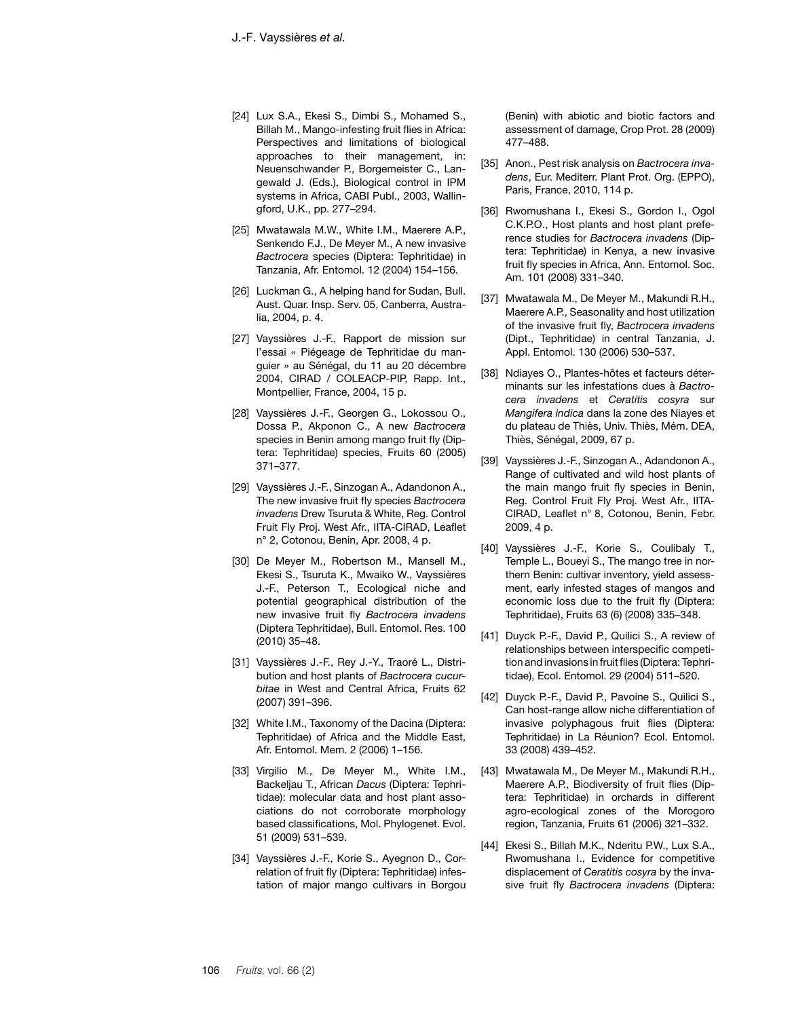- <span id="page-15-0"></span>[24] Lux S.A., Ekesi S., Dimbi S., Mohamed S., Billah M., Mango-infesting fruit flies in Africa: Perspectives and limitations of biological approaches to their management, in: Neuenschwander P., Borgemeister C., Langewald J. (Eds.), Biological control in IPM systems in Africa, CABI Publ., 2003, Wallingford, U.K., pp. 277–294.
- <span id="page-15-1"></span>[25] Mwatawala M.W., White I.M., Maerere A.P., Senkendo F.J., De Meyer M., A new invasive *Bactrocera* species (Diptera: Tephritidae) in Tanzania, Afr. Entomol. 12 (2004) 154–156.
- <span id="page-15-2"></span>[26] Luckman G., A helping hand for Sudan, Bull. Aust. Quar. Insp. Serv. 05, Canberra, Australia, 2004, p. 4.
- <span id="page-15-3"></span>[27] Vayssières J.-F., Rapport de mission sur l'essai « Piégeage de Tephritidae du manguier » au Sénégal, du 11 au 20 décembre 2004, CIRAD / COLEACP-PIP, Rapp. Int., Montpellier, France, 2004, 15 p.
- <span id="page-15-4"></span>[28] Vayssières J.-F., Georgen G., Lokossou O., Dossa P., Akponon C., A new *Bactrocera* species in Benin among mango fruit fly (Diptera: Tephritidae) species, Fruits 60 (2005) 371–377.
- <span id="page-15-5"></span>[29] Vayssières J.-F., Sinzogan A., Adandonon A., The new invasive fruit fly species *Bactrocera invadens* Drew Tsuruta & White, Reg. Control Fruit Fly Proj. West Afr., IITA-CIRAD, Leaflet n° 2, Cotonou, Benin, Apr. 2008, 4 p.
- <span id="page-15-6"></span>[30] De Meyer M., Robertson M., Mansell M., Ekesi S., Tsuruta K., Mwaiko W., Vayssières J.-F., Peterson T., Ecological niche and potential geographical distribution of the new invasive fruit fly *Bactrocera invadens* (Diptera Tephritidae), Bull. Entomol. Res. 100 (2010) 35–48.
- <span id="page-15-7"></span>[31] Vayssières J.-F., Rey J.-Y., Traoré L., Distribution and host plants of *Bactrocera cucurbitae* in West and Central Africa, Fruits 62 (2007) 391–396.
- <span id="page-15-8"></span>[32] White I.M., Taxonomy of the Dacina (Diptera: Tephritidae) of Africa and the Middle East, Afr. Entomol. Mem. 2 (2006) 1–156.
- <span id="page-15-9"></span>[33] Virgilio M., De Meyer M., White I.M., Backeljau T., African *Dacus* (Diptera: Tephritidae): molecular data and host plant associations do not corroborate morphology based classifications, Mol. Phylogenet. Evol. 51 (2009) 531–539.
- <span id="page-15-10"></span>[34] Vayssières J.-F., Korie S., Ayegnon D., Correlation of fruit fly (Diptera: Tephritidae) infestation of major mango cultivars in Borgou

(Benin) with abiotic and biotic factors and assessment of damage, Crop Prot. 28 (2009) 477–488.

- <span id="page-15-11"></span>[35] Anon., Pest risk analysis on *Bactrocera invadens*, Eur. Mediterr. Plant Prot. Org. (EPPO), Paris, France, 2010, 114 p.
- <span id="page-15-12"></span>[36] Rwomushana I., Ekesi S., Gordon I., Ogol C.K.P.O., Host plants and host plant preference studies for *Bactrocera invadens* (Diptera: Tephritidae) in Kenya, a new invasive fruit fly species in Africa, Ann. Entomol. Soc. Am. 101 (2008) 331–340.
- <span id="page-15-13"></span>[37] Mwatawala M., De Meyer M., Makundi R.H., Maerere A.P., Seasonality and host utilization of the invasive fruit fly, *Bactrocera invadens* (Dipt., Tephritidae) in central Tanzania, J. Appl. Entomol. 130 (2006) 530–537.
- <span id="page-15-16"></span>[38] Ndiayes O., Plantes-hôtes et facteurs déterminants sur les infestations dues à *Bactrocera invadens* et *Ceratitis cosyra* sur *Mangifera indica* dans la zone des Niayes et du plateau de Thiès, Univ. Thiès, Mém. DEA, Thiès, Sénégal, 2009, 67 p.
- <span id="page-15-15"></span>[39] Vayssières J.-F., Sinzogan A., Adandonon A., Range of cultivated and wild host plants of the main mango fruit fly species in Benin, Reg. Control Fruit Fly Proj. West Afr., IITA-CIRAD, Leaflet n° 8, Cotonou, Benin, Febr. 2009, 4 p.
- <span id="page-15-14"></span>[40] Vayssières J.-F., Korie S., Coulibaly T., Temple L., Boueyi S., The mango tree in northern Benin: cultivar inventory, yield assessment, early infested stages of mangos and economic loss due to the fruit fly (Diptera: Tephritidae), Fruits 63 (6) (2008) 335–348.
- <span id="page-15-17"></span>[41] Duyck P.-F., David P., Quilici S., A review of relationships between interspecific competition and invasions in fruit flies (Diptera: Tephritidae), Ecol. Entomol. 29 (2004) 511–520.
- <span id="page-15-18"></span>[42] Duyck P.-F., David P., Pavoine S., Quilici S., Can host-range allow niche differentiation of invasive polyphagous fruit flies (Diptera: Tephritidae) in La Réunion? Ecol. Entomol. 33 (2008) 439–452.
- <span id="page-15-19"></span>[43] Mwatawala M., De Meyer M., Makundi R.H., Maerere A.P., Biodiversity of fruit flies (Diptera: Tephritidae) in orchards in different agro-ecological zones of the Morogoro region, Tanzania, Fruits 61 (2006) 321–332.
- <span id="page-15-20"></span>[44] Ekesi S., Billah M.K., Nderitu P.W., Lux S.A., Rwomushana I., Evidence for competitive displacement of *Ceratitis cosyra* by the invasive fruit fly *Bactrocera invadens* (Diptera: